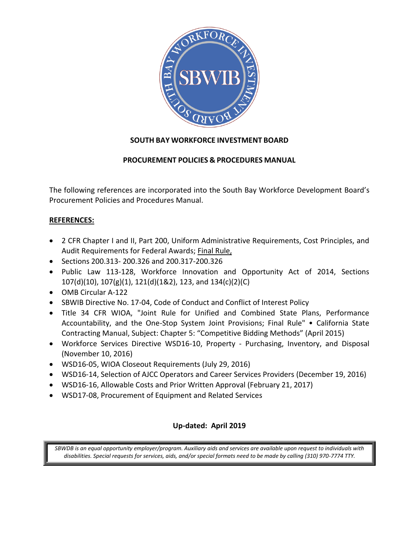

## **SOUTH BAY WORKFORCE INVESTMENT BOARD**

## **PROCUREMENT POLICIES & PROCEDURES MANUAL**

The following references are incorporated into the South Bay Workforce Development Board's Procurement Policies and Procedures Manual.

## **REFERENCES:**

- 2 CFR Chapter I and II, Part 200, Uniform Administrative Requirements, Cost Principles, and Audit Requirements for Federal Awards; Final Rule,
- Sections 200.313- 200.326 and 200.317-200.326
- Public Law 113-128, Workforce Innovation and Opportunity Act of 2014, Sections 107(d)(10), 107(g)(1), 121(d)(1&2), 123, and 134(c)(2)(C)
- OMB Circular A-122
- SBWIB Directive No. 17-04, Code of Conduct and Conflict of Interest Policy
- Title 34 CFR WIOA, "Joint Rule for Unified and Combined State Plans, Performance Accountability, and the One-Stop System Joint Provisions; Final Rule" • California State Contracting Manual, Subject: Chapter 5: "Competitive Bidding Methods" (April 2015)
- Workforce Services Directive WSD16-10, Property Purchasing, Inventory, and Disposal (November 10, 2016)
- WSD16-05, WIOA Closeout Requirements (July 29, 2016)
- WSD16-14, Selection of AJCC Operators and Career Services Providers (December 19, 2016)
- WSD16-16, Allowable Costs and Prior Written Approval (February 21, 2017)
- WSD17-08, Procurement of Equipment and Related Services

# **Up-dated: April 2019**

*SBWDB is an equal opportunity employer/program. Auxiliary aids and services are available upon request to individuals with disabilities. Special requests for services, aids, and/or special formats need to be made by calling (310) 970-7774 TTY.*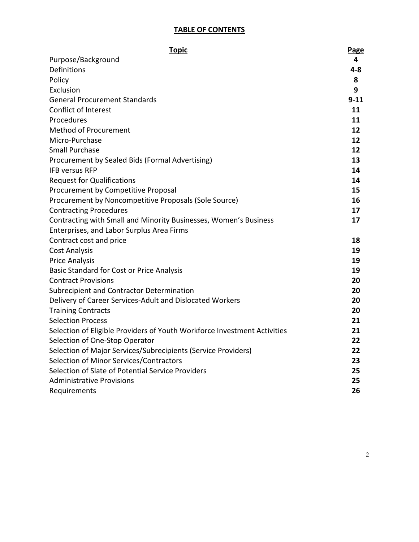## **TABLE OF CONTENTS**

| <b>Topic</b>                                                             | Page     |
|--------------------------------------------------------------------------|----------|
| Purpose/Background                                                       | 4        |
| Definitions                                                              | $4 - 8$  |
| Policy                                                                   | 8        |
| Exclusion                                                                | 9        |
| <b>General Procurement Standards</b>                                     | $9 - 11$ |
| Conflict of Interest                                                     | 11       |
| Procedures                                                               | 11       |
| <b>Method of Procurement</b>                                             | 12       |
| Micro-Purchase                                                           | 12       |
| <b>Small Purchase</b>                                                    | 12       |
| Procurement by Sealed Bids (Formal Advertising)                          | 13       |
| <b>IFB versus RFP</b>                                                    | 14       |
| <b>Request for Qualifications</b>                                        | 14       |
| Procurement by Competitive Proposal                                      | 15       |
| Procurement by Noncompetitive Proposals (Sole Source)                    | 16       |
| <b>Contracting Procedures</b>                                            | 17       |
| Contracting with Small and Minority Businesses, Women's Business         | 17       |
| Enterprises, and Labor Surplus Area Firms                                |          |
| Contract cost and price                                                  | 18       |
| <b>Cost Analysis</b>                                                     | 19       |
| <b>Price Analysis</b>                                                    | 19       |
| Basic Standard for Cost or Price Analysis                                | 19       |
| <b>Contract Provisions</b>                                               | 20       |
| Subrecipient and Contractor Determination                                | 20       |
| Delivery of Career Services-Adult and Dislocated Workers                 | 20       |
| <b>Training Contracts</b>                                                | 20       |
| <b>Selection Process</b>                                                 | 21       |
| Selection of Eligible Providers of Youth Workforce Investment Activities | 21       |
| Selection of One-Stop Operator                                           | 22       |
| Selection of Major Services/Subrecipients (Service Providers)            | 22       |
| Selection of Minor Services/Contractors                                  | 23       |
| Selection of Slate of Potential Service Providers                        | 25       |
| <b>Administrative Provisions</b>                                         | 25       |
| Requirements                                                             | 26       |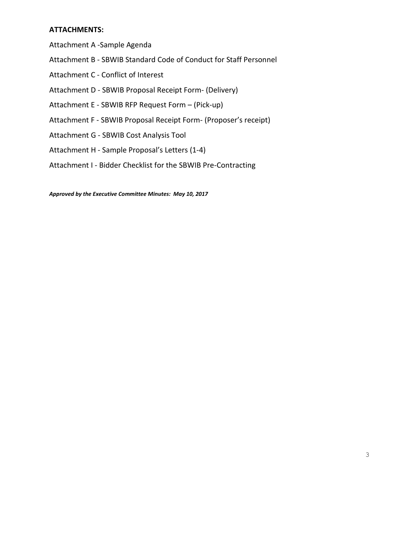### **ATTACHMENTS:**

Attachment A -Sample Agenda

Attachment B - SBWIB Standard Code of Conduct for Staff Personnel

Attachment C - Conflict of Interest

Attachment D - SBWIB Proposal Receipt Form- (Delivery)

Attachment E - SBWIB RFP Request Form – (Pick-up)

Attachment F - SBWIB Proposal Receipt Form- (Proposer's receipt)

Attachment G - SBWIB Cost Analysis Tool

Attachment H - Sample Proposal's Letters (1-4)

Attachment I - Bidder Checklist for the SBWIB Pre-Contracting

*Approved by the Executive Committee Minutes: May 10, 2017*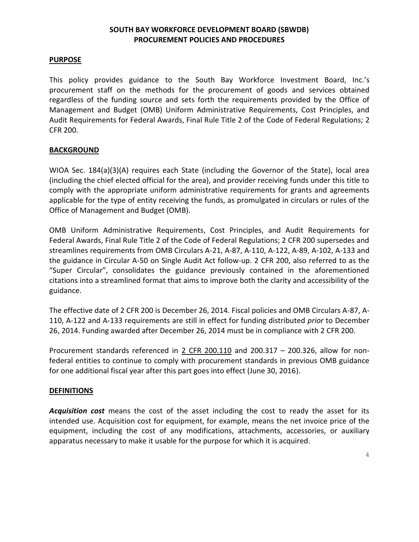## **SOUTH BAY WORKFORCE DEVELOPMENT BOARD (SBWDB) PROCUREMENT POLICIES AND PROCEDURES**

### **PURPOSE**

This policy provides guidance to the South Bay Workforce Investment Board, Inc.'s procurement staff on the methods for the procurement of goods and services obtained regardless of the funding source and sets forth the requirements provided by the Office of Management and Budget (OMB) Uniform Administrative Requirements, Cost Principles, and Audit Requirements for Federal Awards, Final Rule Title 2 of the Code of Federal Regulations; 2 CFR 200.

### **BACKGROUND**

WIOA Sec. 184(a)(3)(A) requires each State (including the Governor of the State), local area (including the chief elected official for the area), and provider receiving funds under this title to comply with the appropriate uniform administrative requirements for grants and agreements applicable for the type of entity receiving the funds, as promulgated in circulars or rules of the Office of Management and Budget (OMB).

OMB Uniform Administrative Requirements, Cost Principles, and Audit Requirements for Federal Awards, Final Rule Title 2 of the Code of Federal Regulations; 2 CFR 200 supersedes and streamlines requirements from OMB Circulars A-21, A-87, A-110, A-122, A-89, A-102, A-133 and the guidance in Circular A-50 on Single Audit Act follow-up. 2 CFR 200, also referred to as the "Super Circular", consolidates the guidance previously contained in the aforementioned citations into a streamlined format that aims to improve both the clarity and accessibility of the guidance.

The effective date of 2 CFR 200 is December 26, 2014. Fiscal policies and OMB Circulars A-87, A-110, A-122 and A-133 requirements are still in effect for funding distributed *prior* to December 26, 2014. Funding awarded after December 26, 2014 must be in compliance with 2 CFR 200.

Procurement standards referenced in 2 CFR 200.110 and 200.317 – 200.326, allow for nonfederal entities to continue to comply with procurement standards in previous OMB guidance for one additional fiscal year after this part goes into effect (June 30, 2016).

#### **DEFINITIONS**

*Acquisition cost* means the cost of the asset including the cost to ready the asset for its intended use. Acquisition cost for equipment, for example, means the net invoice price of the equipment, including the cost of any modifications, attachments, accessories, or auxiliary apparatus necessary to make it usable for the purpose for which it is acquired.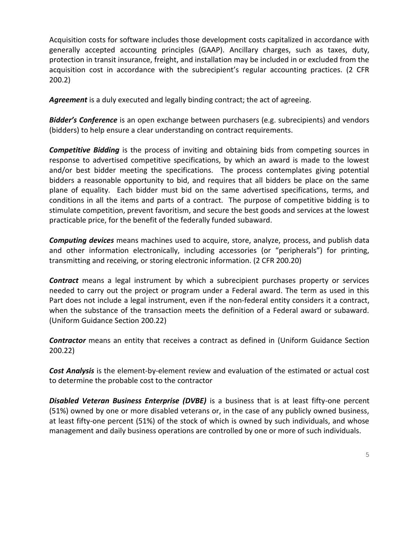Acquisition costs for software includes those development costs capitalized in accordance with generally accepted accounting principles (GAAP). Ancillary charges, such as taxes, duty, protection in transit insurance, freight, and installation may be included in or excluded from the acquisition cost in accordance with the subrecipient's regular accounting practices. (2 CFR 200.2)

*Agreement* is a duly executed and legally binding contract; the act of agreeing.

*Bidder's Conference* is an open exchange between purchasers (e.g. subrecipients) and vendors (bidders) to help ensure a clear understanding on contract requirements.

*Competitive Bidding* is the process of inviting and obtaining bids from competing sources in response to advertised competitive specifications, by which an award is made to the lowest and/or best bidder meeting the specifications. The process contemplates giving potential bidders a reasonable opportunity to bid, and requires that all bidders be place on the same plane of equality. Each bidder must bid on the same advertised specifications, terms, and conditions in all the items and parts of a contract. The purpose of competitive bidding is to stimulate competition, prevent favoritism, and secure the best goods and services at the lowest practicable price, for the benefit of the federally funded subaward.

*Computing devices* means machines used to acquire, store, analyze, process, and publish data and other information electronically, including accessories (or "peripherals") for printing, transmitting and receiving, or storing electronic information. (2 CFR 200.20)

*Contract* means a legal instrument by which a subrecipient purchases property or services needed to carry out the project or program under a Federal award. The term as used in this Part does not include a legal instrument, even if the non-federal entity considers it a contract, when the substance of the transaction meets the definition of a Federal award or subaward. (Uniform Guidance Section 200.22)

*Contractor* means an entity that receives a contract as defined in (Uniform Guidance Section 200.22)

*Cost Analysis* is the element-by-element review and evaluation of the estimated or actual cost to determine the probable cost to the contractor

**Disabled Veteran Business Enterprise (DVBE)** is a business that is at least fifty-one percent (51%) owned by one or more disabled veterans or, in the case of any publicly owned business, at least fifty-one percent (51%) of the stock of which is owned by such individuals, and whose management and daily business operations are controlled by one or more of such individuals.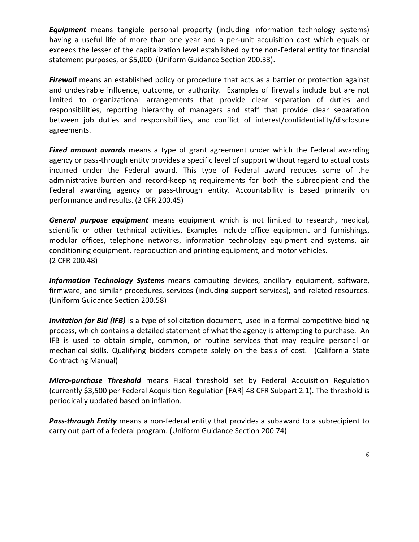*Equipment* means tangible personal property (including information technology systems) having a useful life of more than one year and a per-unit acquisition cost which equals or exceeds the lesser of the capitalization level established by the non-Federal entity for financial statement purposes, or \$5,000 (Uniform Guidance Section 200.33).

*Firewall* means an established policy or procedure that acts as a barrier or protection against and undesirable influence, outcome, or authority. Examples of firewalls include but are not limited to organizational arrangements that provide clear separation of duties and responsibilities, reporting hierarchy of managers and staff that provide clear separation between job duties and responsibilities, and conflict of interest/confidentiality/disclosure agreements.

*Fixed amount awards* means a type of grant agreement under which the Federal awarding agency or pass-through entity provides a specific level of support without regard to actual costs incurred under the Federal award. This type of Federal award reduces some of the administrative burden and record-keeping requirements for both the subrecipient and the Federal awarding agency or pass-through entity. Accountability is based primarily on performance and results. (2 CFR 200.45)

*General purpose equipment* means equipment which is not limited to research, medical, scientific or other technical activities. Examples include office equipment and furnishings, modular offices, telephone networks, information technology equipment and systems, air conditioning equipment, reproduction and printing equipment, and motor vehicles. (2 CFR 200.48)

*Information Technology Systems* means computing devices, ancillary equipment, software, firmware, and similar procedures, services (including support services), and related resources. (Uniform Guidance Section 200.58)

*Invitation for Bid (IFB)* is a type of solicitation document, used in a formal competitive bidding process, which contains a detailed statement of what the agency is attempting to purchase. An IFB is used to obtain simple, common, or routine services that may require personal or mechanical skills. Qualifying bidders compete solely on the basis of cost. (California State Contracting Manual)

*Micro-purchase Threshold* means Fiscal threshold set by Federal Acquisition Regulation (currently \$3,500 per Federal Acquisition Regulation [FAR] 48 CFR Subpart 2.1). The threshold is periodically updated based on inflation.

*Pass-through Entity* means a non-federal entity that provides a subaward to a subrecipient to carry out part of a federal program. (Uniform Guidance Section 200.74)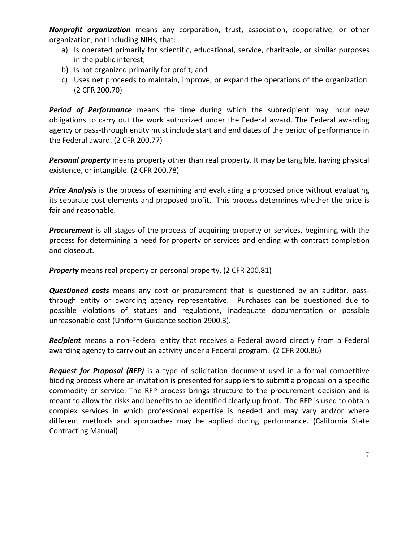*Nonprofit organization* means any corporation, trust, association, cooperative, or other organization, not including NIHs, that:

- a) Is operated primarily for scientific, educational, service, charitable, or similar purposes in the public interest;
- b) Is not organized primarily for profit; and
- c) Uses net proceeds to maintain, improve, or expand the operations of the organization. (2 CFR 200.70)

*Period of Performance* means the time during which the subrecipient may incur new obligations to carry out the work authorized under the Federal award. The Federal awarding agency or pass-through entity must include start and end dates of the period of performance in the Federal award. (2 CFR 200.77)

*Personal property* means property other than real property. It may be tangible, having physical existence, or intangible. (2 CFR 200.78)

*Price Analysis* is the process of examining and evaluating a proposed price without evaluating its separate cost elements and proposed profit. This process determines whether the price is fair and reasonable.

*Procurement* is all stages of the process of acquiring property or services, beginning with the process for determining a need for property or services and ending with contract completion and closeout.

*Property* means real property or personal property. (2 CFR 200.81)

*Questioned costs* means any cost or procurement that is questioned by an auditor, passthrough entity or awarding agency representative. Purchases can be questioned due to possible violations of statues and regulations, inadequate documentation or possible unreasonable cost (Uniform Guidance section 2900.3).

*Recipient* means a non-Federal entity that receives a Federal award directly from a Federal awarding agency to carry out an activity under a Federal program. (2 CFR 200.86)

*Request for Proposal (RFP)* is a type of solicitation document used in a formal competitive bidding process where an invitation is presented for suppliers to submit a proposal on a specific commodity or service. The RFP process brings structure to the procurement decision and is meant to allow the risks and benefits to be identified clearly up front. The RFP is used to obtain complex services in which professional expertise is needed and may vary and/or where different methods and approaches may be applied during performance. (California State Contracting Manual)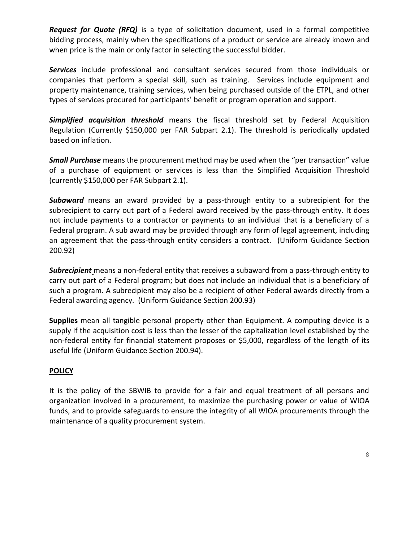*Request for Quote (RFQ)* is a type of solicitation document, used in a formal competitive bidding process, mainly when the specifications of a product or service are already known and when price is the main or only factor in selecting the successful bidder.

*Services* include professional and consultant services secured from those individuals or companies that perform a special skill, such as training. Services include equipment and property maintenance, training services, when being purchased outside of the ETPL, and other types of services procured for participants' benefit or program operation and support.

*Simplified acquisition threshold* means the fiscal threshold set by Federal Acquisition Regulation (Currently \$150,000 per FAR Subpart 2.1). The threshold is periodically updated based on inflation.

*Small Purchase* means the procurement method may be used when the "per transaction" value of a purchase of equipment or services is less than the Simplified Acquisition Threshold (currently \$150,000 per FAR Subpart 2.1).

*Subaward* means an award provided by a pass-through entity to a subrecipient for the subrecipient to carry out part of a Federal award received by the pass-through entity. It does not include payments to a contractor or payments to an individual that is a beneficiary of a Federal program. A sub award may be provided through any form of legal agreement, including an agreement that the pass-through entity considers a contract. (Uniform Guidance Section 200.92)

*Subrecipient* means a non-federal entity that receives a subaward from a pass-through entity to carry out part of a Federal program; but does not include an individual that is a beneficiary of such a program. A subrecipient may also be a recipient of other Federal awards directly from a Federal awarding agency. (Uniform Guidance Section 200.93)

**Supplies** mean all tangible personal property other than Equipment. A computing device is a supply if the acquisition cost is less than the lesser of the capitalization level established by the non-federal entity for financial statement proposes or \$5,000, regardless of the length of its useful life (Uniform Guidance Section 200.94).

# **POLICY**

It is the policy of the SBWIB to provide for a fair and equal treatment of all persons and organization involved in a procurement, to maximize the purchasing power or value of WIOA funds, and to provide safeguards to ensure the integrity of all WIOA procurements through the maintenance of a quality procurement system.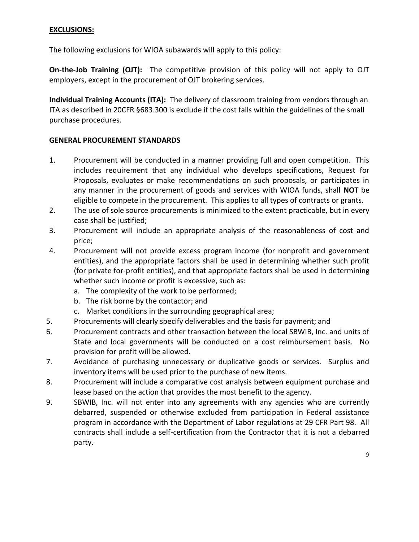## **EXCLUSIONS:**

The following exclusions for WIOA subawards will apply to this policy:

**On-the-Job Training (OJT):** The competitive provision of this policy will not apply to OJT employers, except in the procurement of OJT brokering services.

**Individual Training Accounts (ITA):** The delivery of classroom training from vendors through an ITA as described in 20CFR §683.300 is exclude if the cost falls within the guidelines of the small purchase procedures.

## **GENERAL PROCUREMENT STANDARDS**

- 1. Procurement will be conducted in a manner providing full and open competition. This includes requirement that any individual who develops specifications, Request for Proposals, evaluates or make recommendations on such proposals, or participates in any manner in the procurement of goods and services with WIOA funds, shall **NOT** be eligible to compete in the procurement. This applies to all types of contracts or grants.
- 2. The use of sole source procurements is minimized to the extent practicable, but in every case shall be justified;
- 3. Procurement will include an appropriate analysis of the reasonableness of cost and price;
- 4. Procurement will not provide excess program income (for nonprofit and government entities), and the appropriate factors shall be used in determining whether such profit (for private for-profit entities), and that appropriate factors shall be used in determining whether such income or profit is excessive, such as:
	- a. The complexity of the work to be performed;
	- b. The risk borne by the contactor; and
	- c. Market conditions in the surrounding geographical area;
- 5. Procurements will clearly specify deliverables and the basis for payment; and
- 6. Procurement contracts and other transaction between the local SBWIB, Inc. and units of State and local governments will be conducted on a cost reimbursement basis. No provision for profit will be allowed.
- 7. Avoidance of purchasing unnecessary or duplicative goods or services. Surplus and inventory items will be used prior to the purchase of new items.
- 8. Procurement will include a comparative cost analysis between equipment purchase and lease based on the action that provides the most benefit to the agency.
- 9. SBWIB, Inc. will not enter into any agreements with any agencies who are currently debarred, suspended or otherwise excluded from participation in Federal assistance program in accordance with the Department of Labor regulations at 29 CFR Part 98. All contracts shall include a self-certification from the Contractor that it is not a debarred party.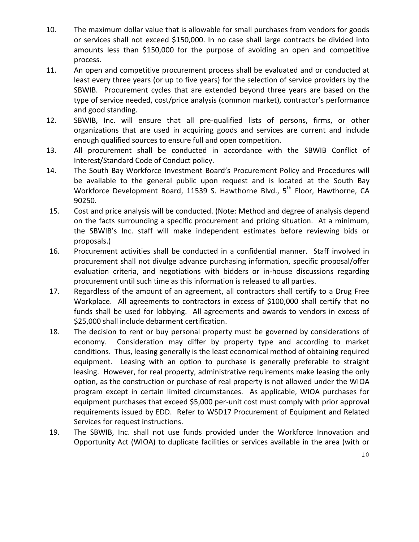- 10. The maximum dollar value that is allowable for small purchases from vendors for goods or services shall not exceed \$150,000. In no case shall large contracts be divided into amounts less than \$150,000 for the purpose of avoiding an open and competitive process.
- 11. An open and competitive procurement process shall be evaluated and or conducted at least every three years (or up to five years) for the selection of service providers by the SBWIB. Procurement cycles that are extended beyond three years are based on the type of service needed, cost/price analysis (common market), contractor's performance and good standing.
- 12. SBWIB, Inc. will ensure that all pre-qualified lists of persons, firms, or other organizations that are used in acquiring goods and services are current and include enough qualified sources to ensure full and open competition.
- 13. All procurement shall be conducted in accordance with the SBWIB Conflict of Interest/Standard Code of Conduct policy.
- 14. The South Bay Workforce Investment Board's Procurement Policy and Procedures will be available to the general public upon request and is located at the South Bay Workforce Development Board, 11539 S. Hawthorne Blvd., 5<sup>th</sup> Floor, Hawthorne, CA 90250.
- 15. Cost and price analysis will be conducted. (Note: Method and degree of analysis depend on the facts surrounding a specific procurement and pricing situation. At a minimum, the SBWIB's Inc. staff will make independent estimates before reviewing bids or proposals.)
- 16. Procurement activities shall be conducted in a confidential manner. Staff involved in procurement shall not divulge advance purchasing information, specific proposal/offer evaluation criteria, and negotiations with bidders or in-house discussions regarding procurement until such time as this information is released to all parties.
- 17. Regardless of the amount of an agreement, all contractors shall certify to a Drug Free Workplace. All agreements to contractors in excess of \$100,000 shall certify that no funds shall be used for lobbying. All agreements and awards to vendors in excess of \$25,000 shall include debarment certification.
- 18. The decision to rent or buy personal property must be governed by considerations of economy. Consideration may differ by property type and according to market conditions. Thus, leasing generally is the least economical method of obtaining required equipment. Leasing with an option to purchase is generally preferable to straight leasing. However, for real property, administrative requirements make leasing the only option, as the construction or purchase of real property is not allowed under the WIOA program except in certain limited circumstances. As applicable, WIOA purchases for equipment purchases that exceed \$5,000 per-unit cost must comply with prior approval requirements issued by EDD. Refer to WSD17 Procurement of Equipment and Related Services for request instructions.
- 19. The SBWIB, Inc. shall not use funds provided under the Workforce Innovation and Opportunity Act (WIOA) to duplicate facilities or services available in the area (with or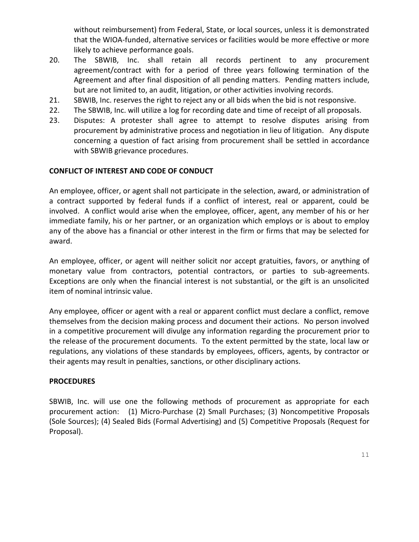without reimbursement) from Federal, State, or local sources, unless it is demonstrated that the WIOA-funded, alternative services or facilities would be more effective or more likely to achieve performance goals.

- 20. The SBWIB, Inc. shall retain all records pertinent to any procurement agreement/contract with for a period of three years following termination of the Agreement and after final disposition of all pending matters. Pending matters include, but are not limited to, an audit, litigation, or other activities involving records.
- 21. SBWIB, Inc. reserves the right to reject any or all bids when the bid is not responsive.
- 22. The SBWIB, Inc. will utilize a log for recording date and time of receipt of all proposals.
- 23. Disputes: A protester shall agree to attempt to resolve disputes arising from procurement by administrative process and negotiation in lieu of litigation. Any dispute concerning a question of fact arising from procurement shall be settled in accordance with SBWIB grievance procedures.

### **CONFLICT OF INTEREST AND CODE OF CONDUCT**

An employee, officer, or agent shall not participate in the selection, award, or administration of a contract supported by federal funds if a conflict of interest, real or apparent, could be involved. A conflict would arise when the employee, officer, agent, any member of his or her immediate family, his or her partner, or an organization which employs or is about to employ any of the above has a financial or other interest in the firm or firms that may be selected for award.

An employee, officer, or agent will neither solicit nor accept gratuities, favors, or anything of monetary value from contractors, potential contractors, or parties to sub-agreements. Exceptions are only when the financial interest is not substantial, or the gift is an unsolicited item of nominal intrinsic value.

Any employee, officer or agent with a real or apparent conflict must declare a conflict, remove themselves from the decision making process and document their actions. No person involved in a competitive procurement will divulge any information regarding the procurement prior to the release of the procurement documents. To the extent permitted by the state, local law or regulations, any violations of these standards by employees, officers, agents, by contractor or their agents may result in penalties, sanctions, or other disciplinary actions.

### **PROCEDURES**

SBWIB, Inc. will use one the following methods of procurement as appropriate for each procurement action: (1) Micro-Purchase (2) Small Purchases; (3) Noncompetitive Proposals (Sole Sources); (4) Sealed Bids (Formal Advertising) and (5) Competitive Proposals (Request for Proposal).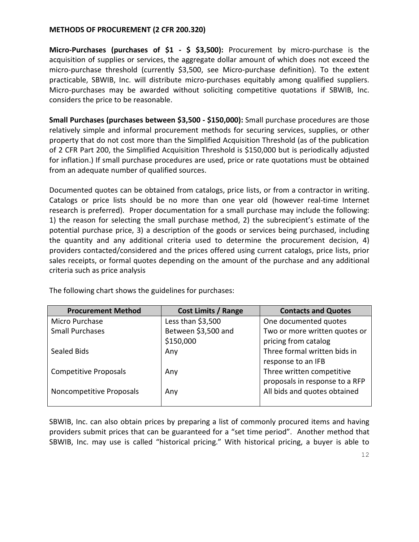### **METHODS OF PROCUREMENT (2 CFR 200.320)**

**Micro-Purchases (purchases of \$1 - \$ \$3,500):** Procurement by micro-purchase is the acquisition of supplies or services, the aggregate dollar amount of which does not exceed the micro-purchase threshold (currently \$3,500, see Micro-purchase definition). To the extent practicable, SBWIB, Inc. will distribute micro-purchases equitably among qualified suppliers. Micro-purchases may be awarded without soliciting competitive quotations if SBWIB, Inc. considers the price to be reasonable.

**Small Purchases (purchases between \$3,500 - \$150,000):** Small purchase procedures are those relatively simple and informal procurement methods for securing services, supplies, or other property that do not cost more than the Simplified Acquisition Threshold (as of the publication of 2 CFR Part 200, the Simplified Acquisition Threshold is \$150,000 but is periodically adjusted for inflation.) If small purchase procedures are used, price or rate quotations must be obtained from an adequate number of qualified sources.

Documented quotes can be obtained from catalogs, price lists, or from a contractor in writing. Catalogs or price lists should be no more than one year old (however real-time Internet research is preferred). Proper documentation for a small purchase may include the following: 1) the reason for selecting the small purchase method, 2) the subrecipient's estimate of the potential purchase price, 3) a description of the goods or services being purchased, including the quantity and any additional criteria used to determine the procurement decision, 4) providers contacted/considered and the prices offered using current catalogs, price lists, prior sales receipts, or formal quotes depending on the amount of the purchase and any additional criteria such as price analysis

| <b>Procurement Method</b> | <b>Cost Limits / Range</b> | <b>Contacts and Quotes</b>     |
|---------------------------|----------------------------|--------------------------------|
| Micro Purchase            | Less than \$3,500          | One documented quotes          |
| <b>Small Purchases</b>    | Between \$3,500 and        | Two or more written quotes or  |
|                           | \$150,000                  | pricing from catalog           |
| Sealed Bids               | Any                        | Three formal written bids in   |
|                           |                            | response to an IFB             |
| Competitive Proposals     | Any                        | Three written competitive      |
|                           |                            | proposals in response to a RFP |
| Noncompetitive Proposals  | Any                        | All bids and quotes obtained   |
|                           |                            |                                |

The following chart shows the guidelines for purchases:

SBWIB, Inc. can also obtain prices by preparing a list of commonly procured items and having providers submit prices that can be guaranteed for a "set time period". Another method that SBWIB, Inc. may use is called "historical pricing." With historical pricing, a buyer is able to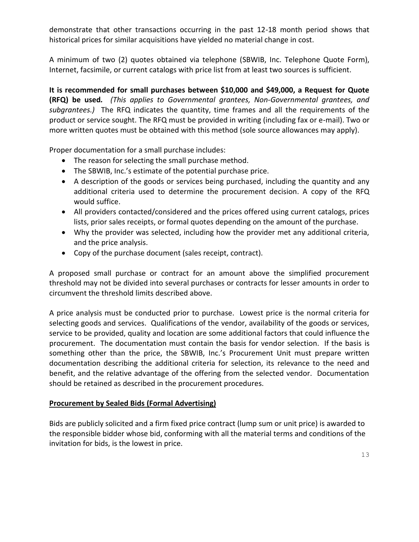demonstrate that other transactions occurring in the past 12-18 month period shows that historical prices for similar acquisitions have yielded no material change in cost.

A minimum of two (2) quotes obtained via telephone (SBWIB, Inc. Telephone Quote Form), Internet, facsimile, or current catalogs with price list from at least two sources is sufficient.

**It is recommended for small purchases between \$10,000 and \$49,000, a Request for Quote (RFQ) be used***. (This applies to Governmental grantees, Non-Governmental grantees, and subgrantees.)* The RFQ indicates the quantity, time frames and all the requirements of the product or service sought. The RFQ must be provided in writing (including fax or e-mail). Two or more written quotes must be obtained with this method (sole source allowances may apply).

Proper documentation for a small purchase includes:

- The reason for selecting the small purchase method.
- The SBWIB, Inc.'s estimate of the potential purchase price.
- A description of the goods or services being purchased, including the quantity and any additional criteria used to determine the procurement decision. A copy of the RFQ would suffice.
- All providers contacted/considered and the prices offered using current catalogs, prices lists, prior sales receipts, or formal quotes depending on the amount of the purchase.
- Why the provider was selected, including how the provider met any additional criteria, and the price analysis.
- Copy of the purchase document (sales receipt, contract).

A proposed small purchase or contract for an amount above the simplified procurement threshold may not be divided into several purchases or contracts for lesser amounts in order to circumvent the threshold limits described above.

A price analysis must be conducted prior to purchase. Lowest price is the normal criteria for selecting goods and services. Qualifications of the vendor, availability of the goods or services, service to be provided, quality and location are some additional factors that could influence the procurement. The documentation must contain the basis for vendor selection. If the basis is something other than the price, the SBWIB, Inc.'s Procurement Unit must prepare written documentation describing the additional criteria for selection, its relevance to the need and benefit, and the relative advantage of the offering from the selected vendor. Documentation should be retained as described in the procurement procedures.

### **Procurement by Sealed Bids (Formal Advertising)**

Bids are publicly solicited and a firm fixed price contract (lump sum or unit price) is awarded to the responsible bidder whose bid, conforming with all the material terms and conditions of the invitation for bids, is the lowest in price.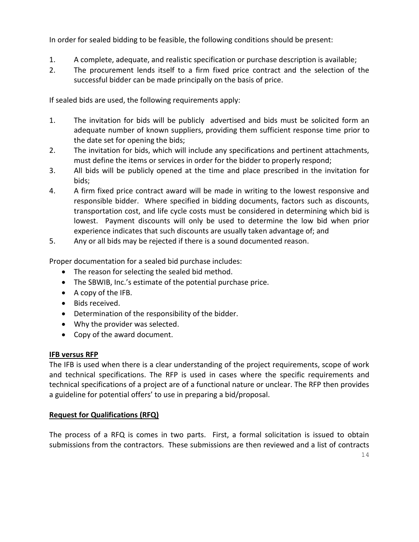In order for sealed bidding to be feasible, the following conditions should be present:

- 1. A complete, adequate, and realistic specification or purchase description is available;
- 2. The procurement lends itself to a firm fixed price contract and the selection of the successful bidder can be made principally on the basis of price.

If sealed bids are used, the following requirements apply:

- 1. The invitation for bids will be publicly advertised and bids must be solicited form an adequate number of known suppliers, providing them sufficient response time prior to the date set for opening the bids;
- 2. The invitation for bids, which will include any specifications and pertinent attachments, must define the items or services in order for the bidder to properly respond;
- 3. All bids will be publicly opened at the time and place prescribed in the invitation for bids;
- 4. A firm fixed price contract award will be made in writing to the lowest responsive and responsible bidder. Where specified in bidding documents, factors such as discounts, transportation cost, and life cycle costs must be considered in determining which bid is lowest. Payment discounts will only be used to determine the low bid when prior experience indicates that such discounts are usually taken advantage of; and
- 5. Any or all bids may be rejected if there is a sound documented reason.

Proper documentation for a sealed bid purchase includes:

- The reason for selecting the sealed bid method.
- The SBWIB, Inc.'s estimate of the potential purchase price.
- A copy of the IFB.
- Bids received.
- Determination of the responsibility of the bidder.
- Why the provider was selected.
- Copy of the award document.

### **IFB versus RFP**

The IFB is used when there is a clear understanding of the project requirements, scope of work and technical specifications. The RFP is used in cases where the specific requirements and technical specifications of a project are of a functional nature or unclear. The RFP then provides a guideline for potential offers' to use in preparing a bid/proposal.

## **Request for Qualifications (RFQ)**

The process of a RFQ is comes in two parts. First, a formal solicitation is issued to obtain submissions from the contractors. These submissions are then reviewed and a list of contracts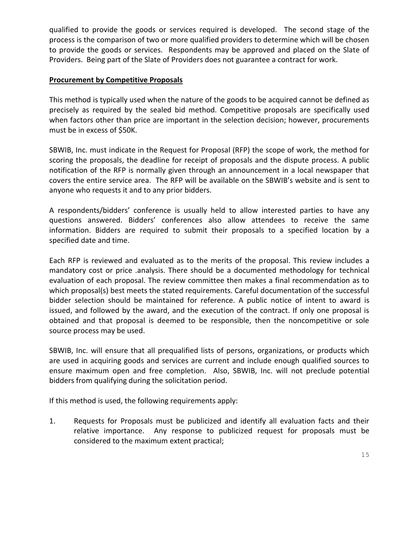qualified to provide the goods or services required is developed. The second stage of the process is the comparison of two or more qualified providers to determine which will be chosen to provide the goods or services. Respondents may be approved and placed on the Slate of Providers. Being part of the Slate of Providers does not guarantee a contract for work.

### **Procurement by Competitive Proposals**

This method is typically used when the nature of the goods to be acquired cannot be defined as precisely as required by the sealed bid method. Competitive proposals are specifically used when factors other than price are important in the selection decision; however, procurements must be in excess of \$50K.

SBWIB, Inc. must indicate in the Request for Proposal (RFP) the scope of work, the method for scoring the proposals, the deadline for receipt of proposals and the dispute process. A public notification of the RFP is normally given through an announcement in a local newspaper that covers the entire service area. The RFP will be available on the SBWIB's website and is sent to anyone who requests it and to any prior bidders.

A respondents/bidders' conference is usually held to allow interested parties to have any questions answered. Bidders' conferences also allow attendees to receive the same information. Bidders are required to submit their proposals to a specified location by a specified date and time.

Each RFP is reviewed and evaluated as to the merits of the proposal. This review includes a mandatory cost or price .analysis. There should be a documented methodology for technical evaluation of each proposal. The review committee then makes a final recommendation as to which proposal(s) best meets the stated requirements. Careful documentation of the successful bidder selection should be maintained for reference. A public notice of intent to award is issued, and followed by the award, and the execution of the contract. If only one proposal is obtained and that proposal is deemed to be responsible, then the noncompetitive or sole source process may be used.

SBWIB, Inc. will ensure that all prequalified lists of persons, organizations, or products which are used in acquiring goods and services are current and include enough qualified sources to ensure maximum open and free completion. Also, SBWIB, Inc. will not preclude potential bidders from qualifying during the solicitation period.

If this method is used, the following requirements apply:

1. Requests for Proposals must be publicized and identify all evaluation facts and their relative importance. Any response to publicized request for proposals must be considered to the maximum extent practical;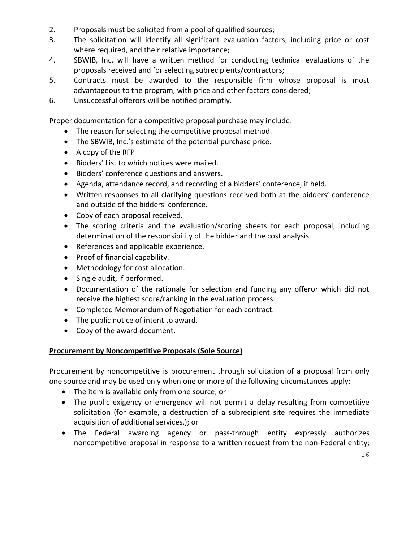- 2. Proposals must be solicited from a pool of qualified sources;
- 3. The solicitation will identify all significant evaluation factors, including price or cost where required, and their relative importance;
- 4. SBWIB, Inc. will have a written method for conducting technical evaluations of the proposals received and for selecting subrecipients/contractors;
- 5. Contracts must be awarded to the responsible firm whose proposal is most advantageous to the program, with price and other factors considered;
- 6. Unsuccessful offerors will be notified promptly.

Proper documentation for a competitive proposal purchase may include:

- The reason for selecting the competitive proposal method.
- The SBWIB, Inc.'s estimate of the potential purchase price.
- A copy of the RFP
- Bidders' List to which notices were mailed.
- Bidders' conference questions and answers.
- Agenda, attendance record, and recording of a bidders' conference, if held.
- Written responses to all clarifying questions received both at the bidders' conference and outside of the bidders' conference.
- Copy of each proposal received.
- The scoring criteria and the evaluation/scoring sheets for each proposal, including determination of the responsibility of the bidder and the cost analysis.
- References and applicable experience.
- Proof of financial capability.
- Methodology for cost allocation.
- Single audit, if performed.
- Documentation of the rationale for selection and funding any offeror which did not receive the highest score/ranking in the evaluation process.
- Completed Memorandum of Negotiation for each contract.
- The public notice of intent to award.
- Copy of the award document.

## **Procurement by Noncompetitive Proposals (Sole Source)**

Procurement by noncompetitive is procurement through solicitation of a proposal from only one source and may be used only when one or more of the following circumstances apply:

- The item is available only from one source; or
- The public exigency or emergency will not permit a delay resulting from competitive solicitation (for example, a destruction of a subrecipient site requires the immediate acquisition of additional services.); or
- The Federal awarding agency or pass-through entity expressly authorizes noncompetitive proposal in response to a written request from the non-Federal entity;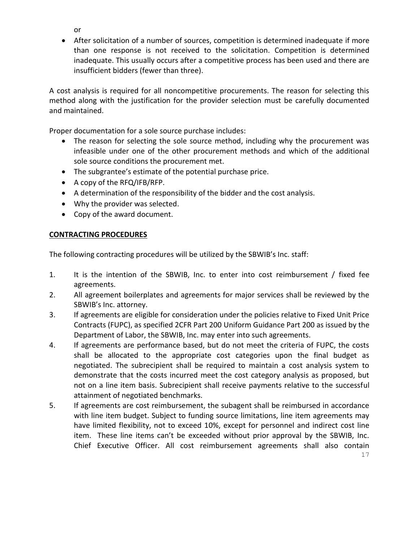or

 After solicitation of a number of sources, competition is determined inadequate if more than one response is not received to the solicitation. Competition is determined inadequate. This usually occurs after a competitive process has been used and there are insufficient bidders (fewer than three).

A cost analysis is required for all noncompetitive procurements. The reason for selecting this method along with the justification for the provider selection must be carefully documented and maintained.

Proper documentation for a sole source purchase includes:

- The reason for selecting the sole source method, including why the procurement was infeasible under one of the other procurement methods and which of the additional sole source conditions the procurement met.
- The subgrantee's estimate of the potential purchase price.
- A copy of the RFQ/IFB/RFP.
- A determination of the responsibility of the bidder and the cost analysis.
- Why the provider was selected.
- Copy of the award document.

### **CONTRACTING PROCEDURES**

The following contracting procedures will be utilized by the SBWIB's Inc. staff:

- 1. It is the intention of the SBWIB, Inc. to enter into cost reimbursement / fixed fee agreements.
- 2. All agreement boilerplates and agreements for major services shall be reviewed by the SBWIB's Inc. attorney.
- 3. If agreements are eligible for consideration under the policies relative to Fixed Unit Price Contracts (FUPC), as specified 2CFR Part 200 Uniform Guidance Part 200 as issued by the Department of Labor, the SBWIB, Inc. may enter into such agreements.
- 4. If agreements are performance based, but do not meet the criteria of FUPC, the costs shall be allocated to the appropriate cost categories upon the final budget as negotiated. The subrecipient shall be required to maintain a cost analysis system to demonstrate that the costs incurred meet the cost category analysis as proposed, but not on a line item basis. Subrecipient shall receive payments relative to the successful attainment of negotiated benchmarks.
- 17 5. If agreements are cost reimbursement, the subagent shall be reimbursed in accordance with line item budget. Subject to funding source limitations, line item agreements may have limited flexibility, not to exceed 10%, except for personnel and indirect cost line item. These line items can't be exceeded without prior approval by the SBWIB, Inc. Chief Executive Officer. All cost reimbursement agreements shall also contain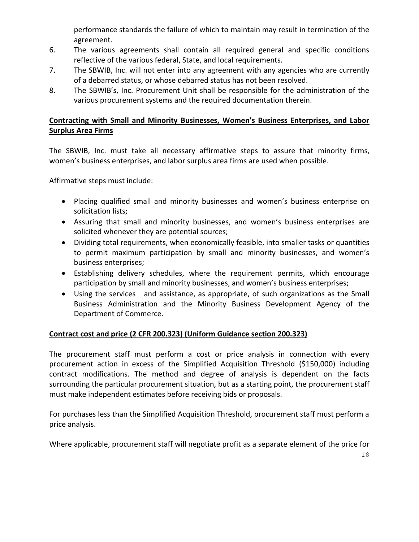performance standards the failure of which to maintain may result in termination of the agreement.

- 6. The various agreements shall contain all required general and specific conditions reflective of the various federal, State, and local requirements.
- 7. The SBWIB, Inc. will not enter into any agreement with any agencies who are currently of a debarred status, or whose debarred status has not been resolved.
- 8. The SBWIB's, Inc. Procurement Unit shall be responsible for the administration of the various procurement systems and the required documentation therein.

## **Contracting with Small and Minority Businesses, Women's Business Enterprises, and Labor Surplus Area Firms**

The SBWIB, Inc. must take all necessary affirmative steps to assure that minority firms, women's business enterprises, and labor surplus area firms are used when possible.

Affirmative steps must include:

- Placing qualified small and minority businesses and women's business enterprise on solicitation lists;
- Assuring that small and minority businesses, and women's business enterprises are solicited whenever they are potential sources;
- Dividing total requirements, when economically feasible, into smaller tasks or quantities to permit maximum participation by small and minority businesses, and women's business enterprises;
- Establishing delivery schedules, where the requirement permits, which encourage participation by small and minority businesses, and women's business enterprises;
- Using the services and assistance, as appropriate, of such organizations as the Small Business Administration and the Minority Business Development Agency of the Department of Commerce.

## **Contract cost and price (2 CFR 200.323) (Uniform Guidance section 200.323)**

The procurement staff must perform a cost or price analysis in connection with every procurement action in excess of the Simplified Acquisition Threshold (\$150,000) including contract modifications. The method and degree of analysis is dependent on the facts surrounding the particular procurement situation, but as a starting point, the procurement staff must make independent estimates before receiving bids or proposals.

For purchases less than the Simplified Acquisition Threshold, procurement staff must perform a price analysis.

Where applicable, procurement staff will negotiate profit as a separate element of the price for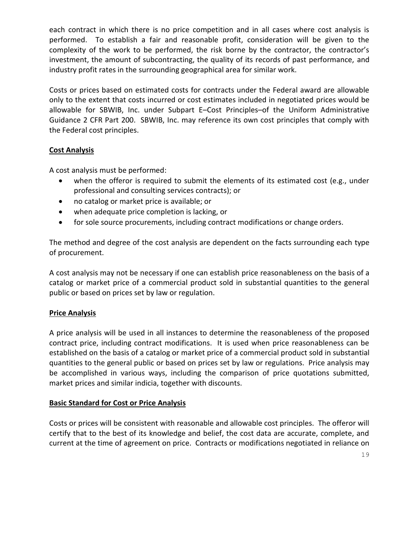each contract in which there is no price competition and in all cases where cost analysis is performed. To establish a fair and reasonable profit, consideration will be given to the complexity of the work to be performed, the risk borne by the contractor, the contractor's investment, the amount of subcontracting, the quality of its records of past performance, and industry profit rates in the surrounding geographical area for similar work.

Costs or prices based on estimated costs for contracts under the Federal award are allowable only to the extent that costs incurred or cost estimates included in negotiated prices would be allowable for SBWIB, Inc. under Subpart E–Cost Principles–of the Uniform Administrative Guidance 2 CFR Part 200. SBWIB, Inc. may reference its own cost principles that comply with the Federal cost principles.

## **Cost Analysis**

A cost analysis must be performed:

- when the offeror is required to submit the elements of its estimated cost (e.g., under professional and consulting services contracts); or
- no catalog or market price is available; or
- when adequate price completion is lacking, or
- for sole source procurements, including contract modifications or change orders.

The method and degree of the cost analysis are dependent on the facts surrounding each type of procurement.

A cost analysis may not be necessary if one can establish price reasonableness on the basis of a catalog or market price of a commercial product sold in substantial quantities to the general public or based on prices set by law or regulation.

## **Price Analysis**

A price analysis will be used in all instances to determine the reasonableness of the proposed contract price, including contract modifications. It is used when price reasonableness can be established on the basis of a catalog or market price of a commercial product sold in substantial quantities to the general public or based on prices set by law or regulations. Price analysis may be accomplished in various ways, including the comparison of price quotations submitted, market prices and similar indicia, together with discounts.

## **Basic Standard for Cost or Price Analysis**

Costs or prices will be consistent with reasonable and allowable cost principles. The offeror will certify that to the best of its knowledge and belief, the cost data are accurate, complete, and current at the time of agreement on price. Contracts or modifications negotiated in reliance on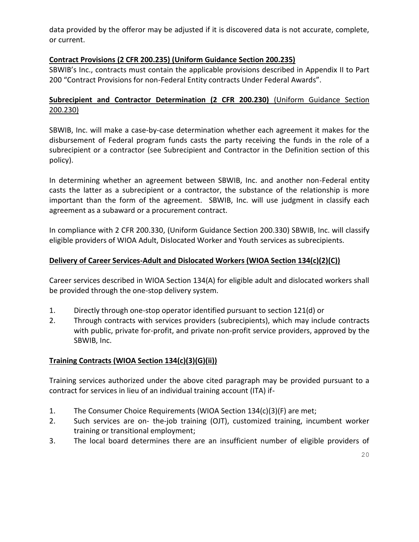data provided by the offeror may be adjusted if it is discovered data is not accurate, complete, or current.

## **Contract Provisions (2 CFR 200.235) (Uniform Guidance Section 200.235)**

SBWIB's Inc., contracts must contain the applicable provisions described in Appendix II to Part 200 "Contract Provisions for non-Federal Entity contracts Under Federal Awards".

## **Subrecipient and Contractor Determination (2 CFR 200.230)** (Uniform Guidance Section 200.230)

SBWIB, Inc. will make a case-by-case determination whether each agreement it makes for the disbursement of Federal program funds casts the party receiving the funds in the role of a subrecipient or a contractor (see Subrecipient and Contractor in the Definition section of this policy).

In determining whether an agreement between SBWIB, Inc. and another non-Federal entity casts the latter as a subrecipient or a contractor, the substance of the relationship is more important than the form of the agreement. SBWIB, Inc. will use judgment in classify each agreement as a subaward or a procurement contract.

In compliance with 2 CFR 200.330, (Uniform Guidance Section 200.330) SBWIB, Inc. will classify eligible providers of WIOA Adult, Dislocated Worker and Youth services as subrecipients.

## **Delivery of Career Services-Adult and Dislocated Workers (WIOA Section 134(c)(2)(C))**

Career services described in WIOA Section 134(A) for eligible adult and dislocated workers shall be provided through the one-stop delivery system.

- 1. Directly through one-stop operator identified pursuant to section 121(d) or
- 2. Through contracts with services providers (subrecipients), which may include contracts with public, private for-profit, and private non-profit service providers, approved by the SBWIB, Inc.

## **Training Contracts (WIOA Section 134(c)(3)(G)(ii))**

Training services authorized under the above cited paragraph may be provided pursuant to a contract for services in lieu of an individual training account (ITA) if-

- 1. The Consumer Choice Requirements (WIOA Section 134(c)(3)(F) are met;
- 2. Such services are on- the-job training (OJT), customized training, incumbent worker training or transitional employment;
- 3. The local board determines there are an insufficient number of eligible providers of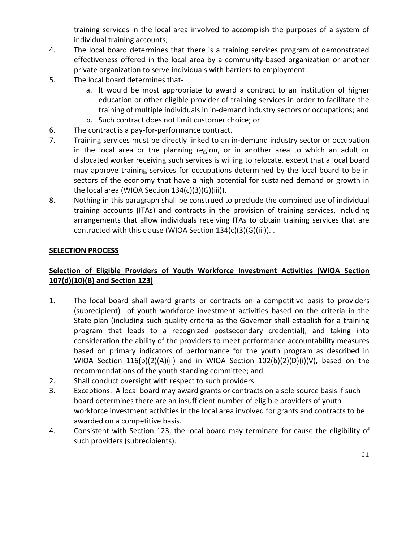training services in the local area involved to accomplish the purposes of a system of individual training accounts;

- 4. The local board determines that there is a training services program of demonstrated effectiveness offered in the local area by a community-based organization or another private organization to serve individuals with barriers to employment.
- 5. The local board determines that
	- a. It would be most appropriate to award a contract to an institution of higher education or other eligible provider of training services in order to facilitate the training of multiple individuals in in-demand industry sectors or occupations; and
	- b. Such contract does not limit customer choice; or
- 6. The contract is a pay-for-performance contract.
- 7. Training services must be directly linked to an in-demand industry sector or occupation in the local area or the planning region, or in another area to which an adult or dislocated worker receiving such services is willing to relocate, except that a local board may approve training services for occupations determined by the local board to be in sectors of the economy that have a high potential for sustained demand or growth in the local area (WIOA Section 134(c)(3)(G)(iii)).
- 8. Nothing in this paragraph shall be construed to preclude the combined use of individual training accounts (ITAs) and contracts in the provision of training services, including arrangements that allow individuals receiving ITAs to obtain training services that are contracted with this clause (WIOA Section 134(c)(3)(G)(iii)). .

## **SELECTION PROCESS**

# **Selection of Eligible Providers of Youth Workforce Investment Activities (WIOA Section 107(d)(10)(B) and Section 123)**

- 1. The local board shall award grants or contracts on a competitive basis to providers (subrecipient) of youth workforce investment activities based on the criteria in the State plan (including such quality criteria as the Governor shall establish for a training program that leads to a recognized postsecondary credential), and taking into consideration the ability of the providers to meet performance accountability measures based on primary indicators of performance for the youth program as described in WIOA Section 116(b)(2)(A)(ii) and in WIOA Section 102(b)(2)(D)(i)(V), based on the recommendations of the youth standing committee; and
- 2. Shall conduct oversight with respect to such providers.
- 3. Exceptions: A local board may award grants or contracts on a sole source basis if such board determines there are an insufficient number of eligible providers of youth workforce investment activities in the local area involved for grants and contracts to be awarded on a competitive basis.
- 4. Consistent with Section 123, the local board may terminate for cause the eligibility of such providers (subrecipients).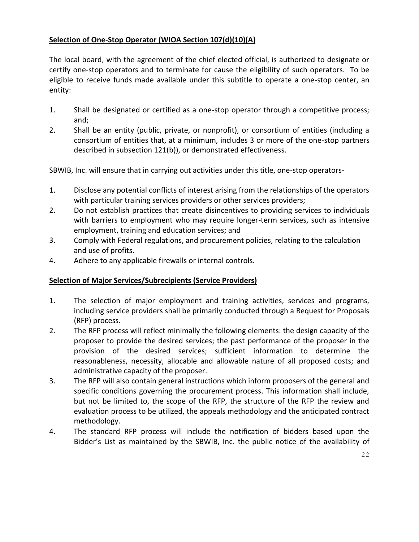## **Selection of One-Stop Operator (WIOA Section 107(d)(10)(A)**

The local board, with the agreement of the chief elected official, is authorized to designate or certify one-stop operators and to terminate for cause the eligibility of such operators. To be eligible to receive funds made available under this subtitle to operate a one-stop center, an entity:

- 1. Shall be designated or certified as a one-stop operator through a competitive process; and;
- 2. Shall be an entity (public, private, or nonprofit), or consortium of entities (including a consortium of entities that, at a minimum, includes 3 or more of the one-stop partners described in subsection 121(b)), or demonstrated effectiveness.

SBWIB, Inc. will ensure that in carrying out activities under this title, one-stop operators-

- 1. Disclose any potential conflicts of interest arising from the relationships of the operators with particular training services providers or other services providers;
- 2. Do not establish practices that create disincentives to providing services to individuals with barriers to employment who may require longer-term services, such as intensive employment, training and education services; and
- 3. Comply with Federal regulations, and procurement policies, relating to the calculation and use of profits.
- 4. Adhere to any applicable firewalls or internal controls.

## **Selection of Major Services/Subrecipients (Service Providers)**

- 1. The selection of major employment and training activities, services and programs, including service providers shall be primarily conducted through a Request for Proposals (RFP) process.
- 2. The RFP process will reflect minimally the following elements: the design capacity of the proposer to provide the desired services; the past performance of the proposer in the provision of the desired services; sufficient information to determine the reasonableness, necessity, allocable and allowable nature of all proposed costs; and administrative capacity of the proposer.
- 3. The RFP will also contain general instructions which inform proposers of the general and specific conditions governing the procurement process. This information shall include, but not be limited to, the scope of the RFP, the structure of the RFP the review and evaluation process to be utilized, the appeals methodology and the anticipated contract methodology.
- 4. The standard RFP process will include the notification of bidders based upon the Bidder's List as maintained by the SBWIB, Inc. the public notice of the availability of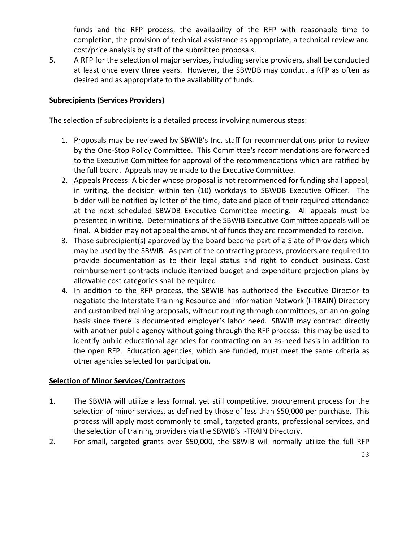funds and the RFP process, the availability of the RFP with reasonable time to completion, the provision of technical assistance as appropriate, a technical review and cost/price analysis by staff of the submitted proposals.

5. A RFP for the selection of major services, including service providers, shall be conducted at least once every three years. However, the SBWDB may conduct a RFP as often as desired and as appropriate to the availability of funds.

## **Subrecipients (Services Providers)**

The selection of subrecipients is a detailed process involving numerous steps:

- 1. Proposals may be reviewed by SBWIB's Inc. staff for recommendations prior to review by the One-Stop Policy Committee. This Committee's recommendations are forwarded to the Executive Committee for approval of the recommendations which are ratified by the full board. Appeals may be made to the Executive Committee.
- 2. Appeals Process: A bidder whose proposal is not recommended for funding shall appeal, in writing, the decision within ten (10) workdays to SBWDB Executive Officer. The bidder will be notified by letter of the time, date and place of their required attendance at the next scheduled SBWDB Executive Committee meeting. All appeals must be presented in writing. Determinations of the SBWIB Executive Committee appeals will be final. A bidder may not appeal the amount of funds they are recommended to receive.
- 3. Those subrecipient(s) approved by the board become part of a Slate of Providers which may be used by the SBWIB. As part of the contracting process, providers are required to provide documentation as to their legal status and right to conduct business. Cost reimbursement contracts include itemized budget and expenditure projection plans by allowable cost categories shall be required.
- 4. In addition to the RFP process, the SBWIB has authorized the Executive Director to negotiate the Interstate Training Resource and Information Network (I-TRAIN) Directory and customized training proposals, without routing through committees, on an on-going basis since there is documented employer's labor need. SBWIB may contract directly with another public agency without going through the RFP process: this may be used to identify public educational agencies for contracting on an as-need basis in addition to the open RFP. Education agencies, which are funded, must meet the same criteria as other agencies selected for participation.

## **Selection of Minor Services/Contractors**

- 1. The SBWIA will utilize a less formal, yet still competitive, procurement process for the selection of minor services, as defined by those of less than \$50,000 per purchase. This process will apply most commonly to small, targeted grants, professional services, and the selection of training providers via the SBWIB's I-TRAIN Directory.
- 2. For small, targeted grants over \$50,000, the SBWIB will normally utilize the full RFP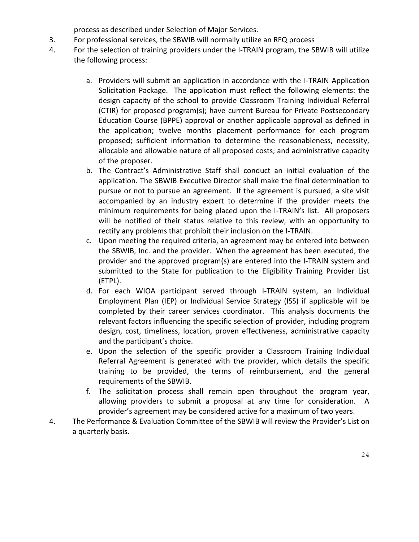process as described under Selection of Major Services.

- 3. For professional services, the SBWIB will normally utilize an RFQ process
- 4. For the selection of training providers under the I-TRAIN program, the SBWIB will utilize the following process:
	- a. Providers will submit an application in accordance with the I-TRAIN Application Solicitation Package. The application must reflect the following elements: the design capacity of the school to provide Classroom Training Individual Referral (CTIR) for proposed program(s); have current Bureau for Private Postsecondary Education Course (BPPE) approval or another applicable approval as defined in the application; twelve months placement performance for each program proposed; sufficient information to determine the reasonableness, necessity, allocable and allowable nature of all proposed costs; and administrative capacity of the proposer.
	- b. The Contract's Administrative Staff shall conduct an initial evaluation of the application. The SBWIB Executive Director shall make the final determination to pursue or not to pursue an agreement. If the agreement is pursued, a site visit accompanied by an industry expert to determine if the provider meets the minimum requirements for being placed upon the I-TRAIN's list. All proposers will be notified of their status relative to this review, with an opportunity to rectify any problems that prohibit their inclusion on the I-TRAIN.
	- c. Upon meeting the required criteria, an agreement may be entered into between the SBWIB, Inc. and the provider. When the agreement has been executed, the provider and the approved program(s) are entered into the I-TRAIN system and submitted to the State for publication to the Eligibility Training Provider List (ETPL).
	- d. For each WIOA participant served through I-TRAIN system, an Individual Employment Plan (IEP) or Individual Service Strategy (ISS) if applicable will be completed by their career services coordinator. This analysis documents the relevant factors influencing the specific selection of provider, including program design, cost, timeliness, location, proven effectiveness, administrative capacity and the participant's choice.
	- e. Upon the selection of the specific provider a Classroom Training Individual Referral Agreement is generated with the provider, which details the specific training to be provided, the terms of reimbursement, and the general requirements of the SBWIB.
	- f. The solicitation process shall remain open throughout the program year, allowing providers to submit a proposal at any time for consideration. A provider's agreement may be considered active for a maximum of two years.
- 4. The Performance & Evaluation Committee of the SBWIB will review the Provider's List on a quarterly basis.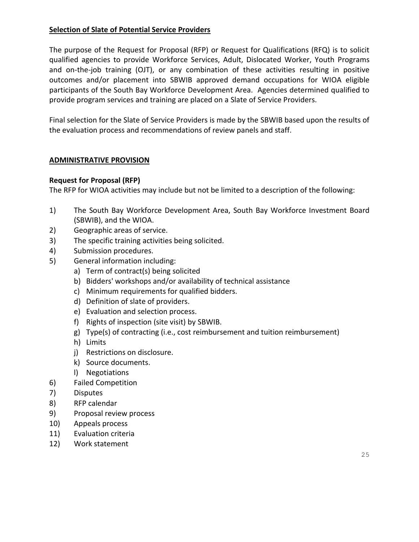## **Selection of Slate of Potential Service Providers**

The purpose of the Request for Proposal (RFP) or Request for Qualifications (RFQ) is to solicit qualified agencies to provide Workforce Services, Adult, Dislocated Worker, Youth Programs and on-the-job training (OJT), or any combination of these activities resulting in positive outcomes and/or placement into SBWIB approved demand occupations for WIOA eligible participants of the South Bay Workforce Development Area. Agencies determined qualified to provide program services and training are placed on a Slate of Service Providers.

Final selection for the Slate of Service Providers is made by the SBWIB based upon the results of the evaluation process and recommendations of review panels and staff.

## **ADMINISTRATIVE PROVISION**

## **Request for Proposal (RFP)**

The RFP for WIOA activities may include but not be limited to a description of the following:

- 1) The South Bay Workforce Development Area, South Bay Workforce Investment Board (SBWIB), and the WIOA.
- 2) Geographic areas of service.
- 3) The specific training activities being solicited.
- 4) Submission procedures.
- 5) General information including:
	- a) Term of contract(s) being solicited
	- b) Bidders' workshops and/or availability of technical assistance
	- c) Minimum requirements for qualified bidders.
	- d) Definition of slate of providers.
	- e) Evaluation and selection process.
	- f) Rights of inspection (site visit) by SBWIB.
	- g) Type(s) of contracting (i.e., cost reimbursement and tuition reimbursement)
	- h) Limits
	- j) Restrictions on disclosure.
	- k) Source documents.
	- l) Negotiations
- 6) Failed Competition
- 7) Disputes
- 8) RFP calendar
- 9) Proposal review process
- 10) Appeals process
- 11) Evaluation criteria
- 12) Work statement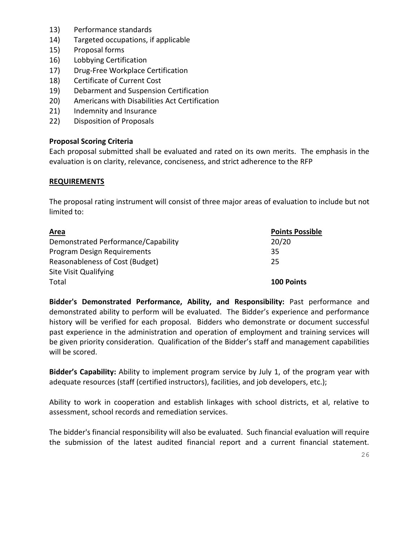- 13) Performance standards
- 14) Targeted occupations, if applicable
- 15) Proposal forms
- 16) Lobbying Certification
- 17) Drug-Free Workplace Certification
- 18) Certificate of Current Cost
- 19) Debarment and Suspension Certification
- 20) Americans with Disabilities Act Certification
- 21) Indemnity and Insurance
- 22) Disposition of Proposals

### **Proposal Scoring Criteria**

Each proposal submitted shall be evaluated and rated on its own merits. The emphasis in the evaluation is on clarity, relevance, conciseness, and strict adherence to the RFP

#### **REQUIREMENTS**

The proposal rating instrument will consist of three major areas of evaluation to include but not limited to:

| Area                                | <b>Points Possible</b> |
|-------------------------------------|------------------------|
| Demonstrated Performance/Capability | 20/20                  |
| Program Design Requirements         | 35                     |
| Reasonableness of Cost (Budget)     | 25                     |
| <b>Site Visit Qualifying</b>        |                        |
| Total                               | <b>100 Points</b>      |

**Bidder's Demonstrated Performance, Ability, and Responsibility:** Past performance and demonstrated ability to perform will be evaluated. The Bidder's experience and performance history will be verified for each proposal. Bidders who demonstrate or document successful past experience in the administration and operation of employment and training services will be given priority consideration. Qualification of the Bidder's staff and management capabilities will be scored.

**Bidder's Capability:** Ability to implement program service by July 1, of the program year with adequate resources (staff (certified instructors), facilities, and job developers, etc.);

Ability to work in cooperation and establish linkages with school districts, et al, relative to assessment, school records and remediation services.

The bidder's financial responsibility will also be evaluated. Such financial evaluation will require the submission of the latest audited financial report and a current financial statement.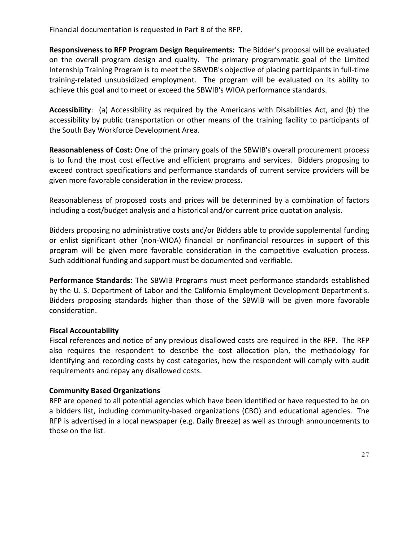Financial documentation is requested in Part B of the RFP.

**Responsiveness to RFP Program Design Requirements:** The Bidder's proposal will be evaluated on the overall program design and quality. The primary programmatic goal of the Limited Internship Training Program is to meet the SBWDB's objective of placing participants in full-time training-related unsubsidized employment. The program will be evaluated on its ability to achieve this goal and to meet or exceed the SBWIB's WIOA performance standards.

**Accessibility**: (a) Accessibility as required by the Americans with Disabilities Act, and (b) the accessibility by public transportation or other means of the training facility to participants of the South Bay Workforce Development Area.

**Reasonableness of Cost:** One of the primary goals of the SBWIB's overall procurement process is to fund the most cost effective and efficient programs and services. Bidders proposing to exceed contract specifications and performance standards of current service providers will be given more favorable consideration in the review process.

Reasonableness of proposed costs and prices will be determined by a combination of factors including a cost/budget analysis and a historical and/or current price quotation analysis.

Bidders proposing no administrative costs and/or Bidders able to provide supplemental funding or enlist significant other (non-WIOA) financial or nonfinancial resources in support of this program will be given more favorable consideration in the competitive evaluation process. Such additional funding and support must be documented and verifiable.

**Performance Standards**: The SBWIB Programs must meet performance standards established by the U. S. Department of Labor and the California Employment Development Department's. Bidders proposing standards higher than those of the SBWIB will be given more favorable consideration.

### **Fiscal Accountability**

Fiscal references and notice of any previous disallowed costs are required in the RFP. The RFP also requires the respondent to describe the cost allocation plan, the methodology for identifying and recording costs by cost categories, how the respondent will comply with audit requirements and repay any disallowed costs.

## **Community Based Organizations**

RFP are opened to all potential agencies which have been identified or have requested to be on a bidders list, including community-based organizations (CBO) and educational agencies. The RFP is advertised in a local newspaper (e.g. Daily Breeze) as well as through announcements to those on the list.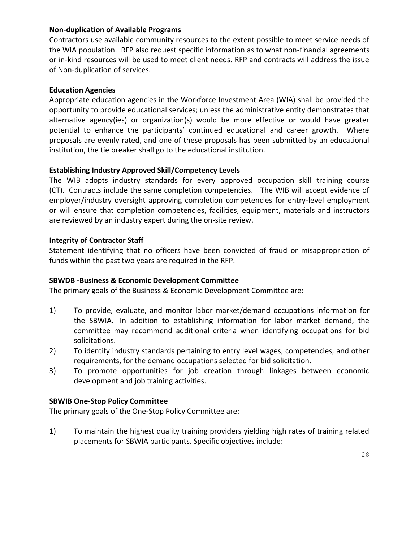### **Non-duplication of Available Programs**

Contractors use available community resources to the extent possible to meet service needs of the WIA population. RFP also request specific information as to what non-financial agreements or in-kind resources will be used to meet client needs. RFP and contracts will address the issue of Non-duplication of services.

### **Education Agencies**

Appropriate education agencies in the Workforce Investment Area (WIA) shall be provided the opportunity to provide educational services; unless the administrative entity demonstrates that alternative agency(ies) or organization(s) would be more effective or would have greater potential to enhance the participants' continued educational and career growth. Where proposals are evenly rated, and one of these proposals has been submitted by an educational institution, the tie breaker shall go to the educational institution.

### **Establishing Industry Approved Skill/Competency Levels**

The WIB adopts industry standards for every approved occupation skill training course (CT). Contracts include the same completion competencies. The WIB will accept evidence of employer/industry oversight approving completion competencies for entry-level employment or will ensure that completion competencies, facilities, equipment, materials and instructors are reviewed by an industry expert during the on-site review.

### **Integrity of Contractor Staff**

Statement identifying that no officers have been convicted of fraud or misappropriation of funds within the past two years are required in the RFP.

## **SBWDB -Business & Economic Development Committee**

The primary goals of the Business & Economic Development Committee are:

- 1) To provide, evaluate, and monitor labor market/demand occupations information for the SBWIA. In addition to establishing information for labor market demand, the committee may recommend additional criteria when identifying occupations for bid solicitations.
- 2) To identify industry standards pertaining to entry level wages, competencies, and other requirements, for the demand occupations selected for bid solicitation.
- 3) To promote opportunities for job creation through linkages between economic development and job training activities.

## **SBWIB One-Stop Policy Committee**

The primary goals of the One-Stop Policy Committee are:

1) To maintain the highest quality training providers yielding high rates of training related placements for SBWIA participants. Specific objectives include: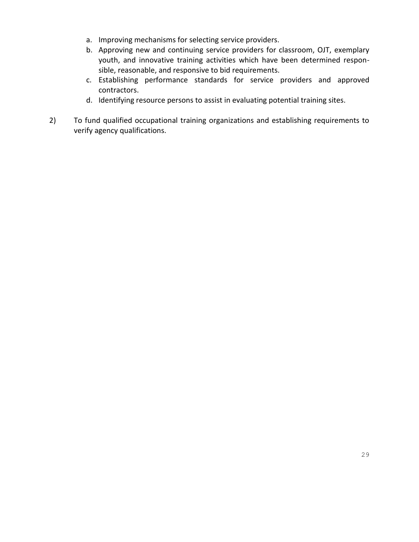- a. Improving mechanisms for selecting service providers.
- b. Approving new and continuing service providers for classroom, OJT, exemplary youth, and innovative training activities which have been determined responsible, reasonable, and responsive to bid requirements.
- c. Establishing performance standards for service providers and approved contractors.
- d. Identifying resource persons to assist in evaluating potential training sites.
- 2) To fund qualified occupational training organizations and establishing requirements to verify agency qualifications.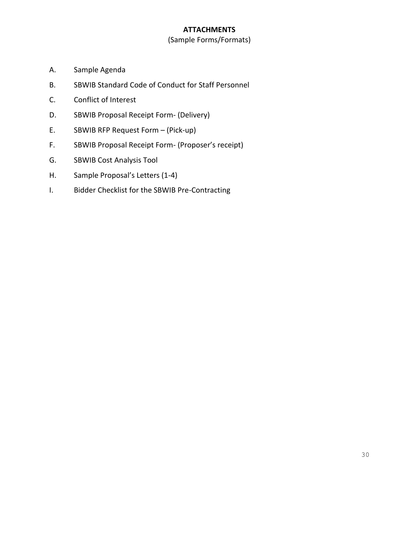### **ATTACHMENTS**

(Sample Forms/Formats)

- A. Sample Agenda
- B. SBWIB Standard Code of Conduct for Staff Personnel
- C. Conflict of Interest
- D. SBWIB Proposal Receipt Form- (Delivery)
- E. SBWIB RFP Request Form (Pick-up)
- F. SBWIB Proposal Receipt Form- (Proposer's receipt)
- G. SBWIB Cost Analysis Tool
- H. Sample Proposal's Letters (1-4)
- I. Bidder Checklist for the SBWIB Pre-Contracting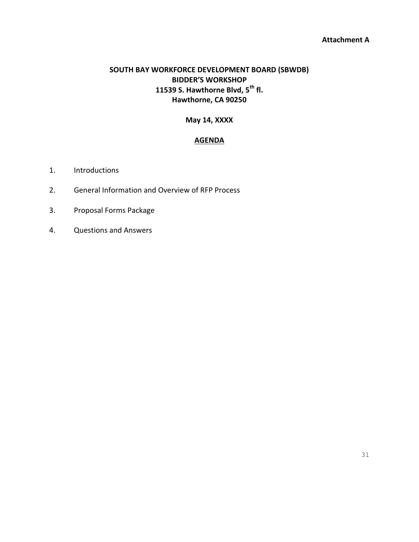#### **Attachment A**

## **SOUTH BAY WORKFORCE DEVELOPMENT BOARD (SBWDB) BIDDER'S WORKSHOP 11539 S. Hawthorne Blvd, 5th fl. Hawthorne, CA 90250**

#### **May 14, XXXX**

#### **AGENDA**

- 1. Introductions
- 2. General Information and Overview of RFP Process
- 3. Proposal Forms Package
- 4. Questions and Answers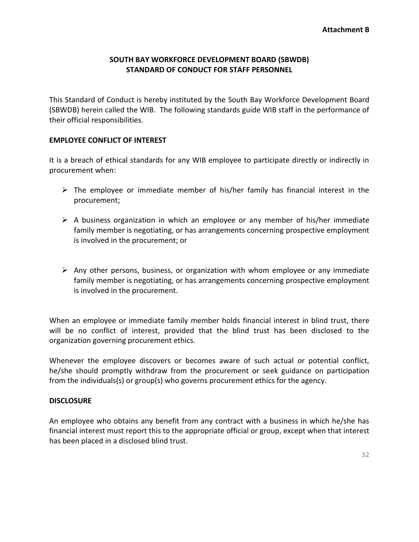### **SOUTH BAY WORKFORCE DEVELOPMENT BOARD (SBWDB) STANDARD OF CONDUCT FOR STAFF PERSONNEL**

This Standard of Conduct is hereby instituted by the South Bay Workforce Development Board (SBWDB) herein called the WIB. The following standards guide WIB staff in the performance of their official responsibilities.

## **EMPLOYEE CONFLICT OF INTEREST**

It is a breach of ethical standards for any WIB employee to participate directly or indirectly in procurement when:

- $\triangleright$  The employee or immediate member of his/her family has financial interest in the procurement;
- $\triangleright$  A business organization in which an employee or any member of his/her immediate family member is negotiating, or has arrangements concerning prospective employment is involved in the procurement; or
- $\triangleright$  Any other persons, business, or organization with whom employee or any immediate family member is negotiating, or has arrangements concerning prospective employment is involved in the procurement.

When an employee or immediate family member holds financial interest in blind trust, there will be no conflict of interest, provided that the blind trust has been disclosed to the organization governing procurement ethics.

Whenever the employee discovers or becomes aware of such actual or potential conflict, he/she should promptly withdraw from the procurement or seek guidance on participation from the individuals(s) or group(s) who governs procurement ethics for the agency.

#### **DISCLOSURE**

An employee who obtains any benefit from any contract with a business in which he/she has financial interest must report this to the appropriate official or group, except when that interest has been placed in a disclosed blind trust.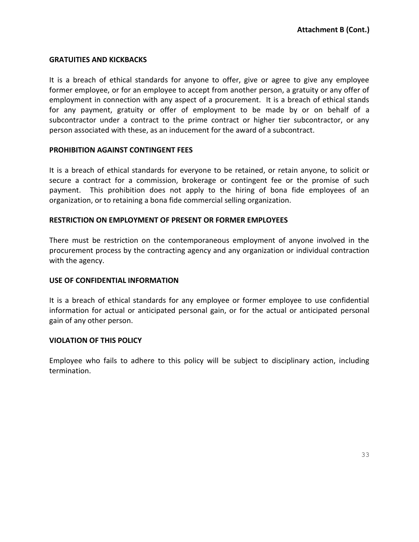#### **GRATUITIES AND KICKBACKS**

It is a breach of ethical standards for anyone to offer, give or agree to give any employee former employee, or for an employee to accept from another person, a gratuity or any offer of employment in connection with any aspect of a procurement. It is a breach of ethical stands for any payment, gratuity or offer of employment to be made by or on behalf of a subcontractor under a contract to the prime contract or higher tier subcontractor, or any person associated with these, as an inducement for the award of a subcontract.

#### **PROHIBITION AGAINST CONTINGENT FEES**

It is a breach of ethical standards for everyone to be retained, or retain anyone, to solicit or secure a contract for a commission, brokerage or contingent fee or the promise of such payment. This prohibition does not apply to the hiring of bona fide employees of an organization, or to retaining a bona fide commercial selling organization.

#### **RESTRICTION ON EMPLOYMENT OF PRESENT OR FORMER EMPLOYEES**

There must be restriction on the contemporaneous employment of anyone involved in the procurement process by the contracting agency and any organization or individual contraction with the agency.

#### **USE OF CONFIDENTIAL INFORMATION**

It is a breach of ethical standards for any employee or former employee to use confidential information for actual or anticipated personal gain, or for the actual or anticipated personal gain of any other person.

#### **VIOLATION OF THIS POLICY**

Employee who fails to adhere to this policy will be subject to disciplinary action, including termination.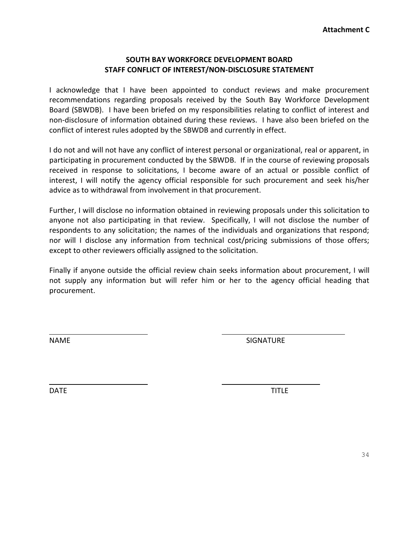### **SOUTH BAY WORKFORCE DEVELOPMENT BOARD STAFF CONFLICT OF INTEREST/NON-DISCLOSURE STATEMENT**

I acknowledge that I have been appointed to conduct reviews and make procurement recommendations regarding proposals received by the South Bay Workforce Development Board (SBWDB). I have been briefed on my responsibilities relating to conflict of interest and non-disclosure of information obtained during these reviews. I have also been briefed on the conflict of interest rules adopted by the SBWDB and currently in effect.

I do not and will not have any conflict of interest personal or organizational, real or apparent, in participating in procurement conducted by the SBWDB. If in the course of reviewing proposals received in response to solicitations, I become aware of an actual or possible conflict of interest, I will notify the agency official responsible for such procurement and seek his/her advice as to withdrawal from involvement in that procurement.

Further, I will disclose no information obtained in reviewing proposals under this solicitation to anyone not also participating in that review. Specifically, I will not disclose the number of respondents to any solicitation; the names of the individuals and organizations that respond; nor will I disclose any information from technical cost/pricing submissions of those offers; except to other reviewers officially assigned to the solicitation.

Finally if anyone outside the official review chain seeks information about procurement, I will not supply any information but will refer him or her to the agency official heading that procurement.

l

l

NAME SIGNATURE

DATE TITLE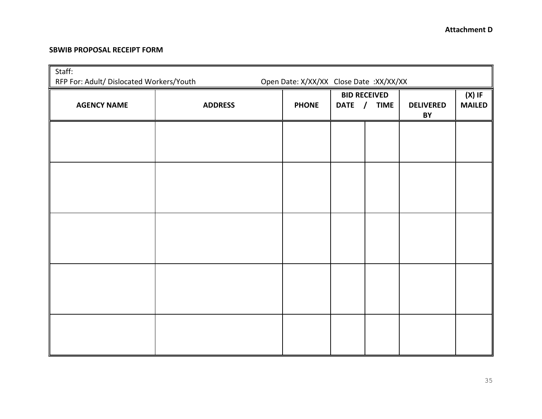#### **SBWIB PROPOSAL RECEIPT FORM**

| Staff:<br>RFP For: Adult/ Dislocated Workers/Youth<br>Open Date: X/XX/XX Close Date : XX/XX/XX |                |              |                                                                        |  |  |  |                           |
|------------------------------------------------------------------------------------------------|----------------|--------------|------------------------------------------------------------------------|--|--|--|---------------------------|
| <b>AGENCY NAME</b>                                                                             | <b>ADDRESS</b> | <b>PHONE</b> | <b>BID RECEIVED</b><br>DATE /<br><b>TIME</b><br><b>DELIVERED</b><br>BY |  |  |  | $(X)$ IF<br><b>MAILED</b> |
|                                                                                                |                |              |                                                                        |  |  |  |                           |
|                                                                                                |                |              |                                                                        |  |  |  |                           |
|                                                                                                |                |              |                                                                        |  |  |  |                           |
|                                                                                                |                |              |                                                                        |  |  |  |                           |
|                                                                                                |                |              |                                                                        |  |  |  |                           |
|                                                                                                |                |              |                                                                        |  |  |  |                           |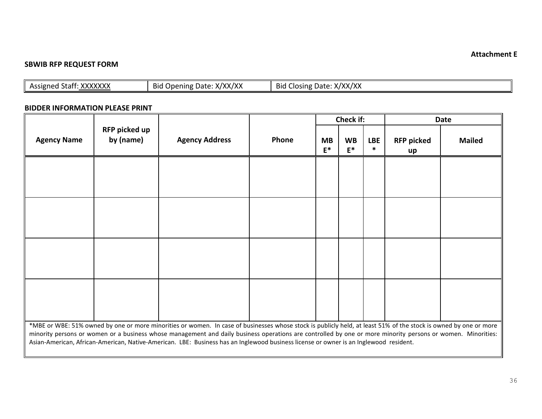### **SBWIB RFP REQUEST FORM**

|  | <b>VVVVVVV</b><br>---<br>າed<br>ASSIEL.<br>.<br>. $\wedge\wedge\wedge\wedge\wedge\wedge\wedge$<br>. . | x/XX/XX<br>віа<br>, .<br>ימכ<br>unine<br>. —<br>val<br>. . | ' IWV IWV<br>$\cdots$<br><b>BIG</b><br>$\cdots$<br>Closine<br>- лат<br><b>AIAAIAA</b><br>. . |
|--|-------------------------------------------------------------------------------------------------------|------------------------------------------------------------|----------------------------------------------------------------------------------------------|
|--|-------------------------------------------------------------------------------------------------------|------------------------------------------------------------|----------------------------------------------------------------------------------------------|

#### **BIDDER INFORMATION PLEASE PRINT**

|                                                                                                                                                                                                                                                                                                                                                                                                                                                                          |                            |                       |       | Check if:<br><b>Date</b> |                    |                      |                         |               |
|--------------------------------------------------------------------------------------------------------------------------------------------------------------------------------------------------------------------------------------------------------------------------------------------------------------------------------------------------------------------------------------------------------------------------------------------------------------------------|----------------------------|-----------------------|-------|--------------------------|--------------------|----------------------|-------------------------|---------------|
| <b>Agency Name</b>                                                                                                                                                                                                                                                                                                                                                                                                                                                       | RFP picked up<br>by (name) | <b>Agency Address</b> | Phone | MВ<br>$E^*$              | <b>WB</b><br>$E^*$ | <b>LBE</b><br>$\ast$ | <b>RFP picked</b><br>up | <b>Mailed</b> |
|                                                                                                                                                                                                                                                                                                                                                                                                                                                                          |                            |                       |       |                          |                    |                      |                         |               |
|                                                                                                                                                                                                                                                                                                                                                                                                                                                                          |                            |                       |       |                          |                    |                      |                         |               |
|                                                                                                                                                                                                                                                                                                                                                                                                                                                                          |                            |                       |       |                          |                    |                      |                         |               |
|                                                                                                                                                                                                                                                                                                                                                                                                                                                                          |                            |                       |       |                          |                    |                      |                         |               |
|                                                                                                                                                                                                                                                                                                                                                                                                                                                                          |                            |                       |       |                          |                    |                      |                         |               |
|                                                                                                                                                                                                                                                                                                                                                                                                                                                                          |                            |                       |       |                          |                    |                      |                         |               |
|                                                                                                                                                                                                                                                                                                                                                                                                                                                                          |                            |                       |       |                          |                    |                      |                         |               |
|                                                                                                                                                                                                                                                                                                                                                                                                                                                                          |                            |                       |       |                          |                    |                      |                         |               |
| *MBE or WBE: 51% owned by one or more minorities or women. In case of businesses whose stock is publicly held, at least 51% of the stock is owned by one or more<br>minority persons or women or a business whose management and daily business operations are controlled by one or more minority persons or women. Minorities:<br>Asian-American, African-American, Native-American. LBE: Business has an Inglewood business license or owner is an Inglewood resident. |                            |                       |       |                          |                    |                      |                         |               |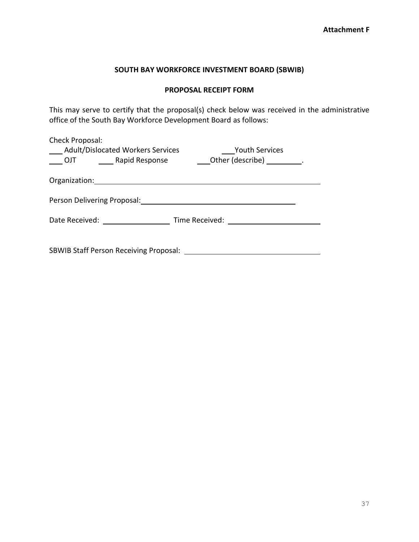### **SOUTH BAY WORKFORCE INVESTMENT BOARD (SBWIB)**

#### **PROPOSAL RECEIPT FORM**

This may serve to certify that the proposal(s) check below was received in the administrative office of the South Bay Workforce Development Board as follows:

| Check Proposal:<br>___ Adult/Dislocated Workers Services<br>OJT Rapid Response | <b>Youth Services</b><br>Other (describe) ___________. |
|--------------------------------------------------------------------------------|--------------------------------------------------------|
| Organization:                                                                  |                                                        |
| Person Delivering Proposal:                                                    |                                                        |
| Date Received: Time Received:                                                  |                                                        |
| <b>SBWIB Staff Person Receiving Proposal:</b>                                  |                                                        |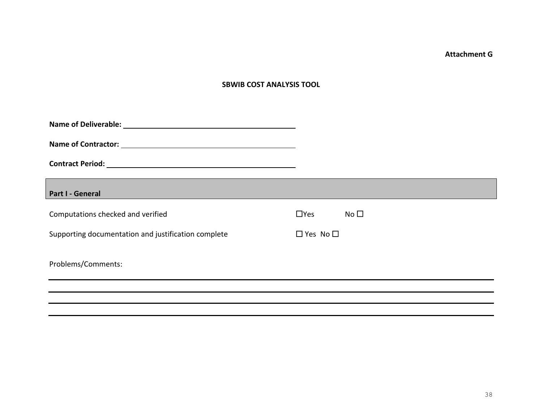**Attachment G**

## **SBWIB COST ANALYSIS TOOL**

| Part I - General                                    |                      |              |
|-----------------------------------------------------|----------------------|--------------|
| Computations checked and verified                   | $\Box$ Yes           | No $\square$ |
| Supporting documentation and justification complete | $\Box$ Yes No $\Box$ |              |
| Problems/Comments:                                  |                      |              |
|                                                     |                      |              |
|                                                     |                      |              |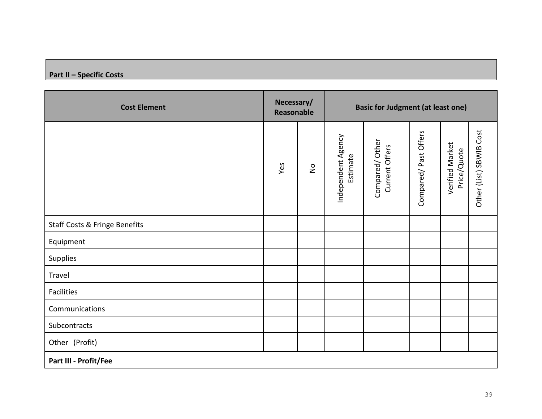## **Part II – Specific Costs**

| <b>Cost Element</b>                      | Necessary/<br><b>Basic for Judgment (at least one)</b><br>Reasonable |               |                                |                                  |                      |                                |                         |
|------------------------------------------|----------------------------------------------------------------------|---------------|--------------------------------|----------------------------------|----------------------|--------------------------------|-------------------------|
|                                          | Yes                                                                  | $\frac{1}{2}$ | Independent Agency<br>Estimate | Compared/Other<br>Current Offers | Compared/Past Offers | Verified Market<br>Price/Quote | Other (List) SBWIB Cost |
| <b>Staff Costs &amp; Fringe Benefits</b> |                                                                      |               |                                |                                  |                      |                                |                         |
| Equipment                                |                                                                      |               |                                |                                  |                      |                                |                         |
| Supplies                                 |                                                                      |               |                                |                                  |                      |                                |                         |
| Travel                                   |                                                                      |               |                                |                                  |                      |                                |                         |
| Facilities                               |                                                                      |               |                                |                                  |                      |                                |                         |
| Communications                           |                                                                      |               |                                |                                  |                      |                                |                         |
| Subcontracts                             |                                                                      |               |                                |                                  |                      |                                |                         |
| Other (Profit)                           |                                                                      |               |                                |                                  |                      |                                |                         |
| Part III - Profit/Fee                    |                                                                      |               |                                |                                  |                      |                                |                         |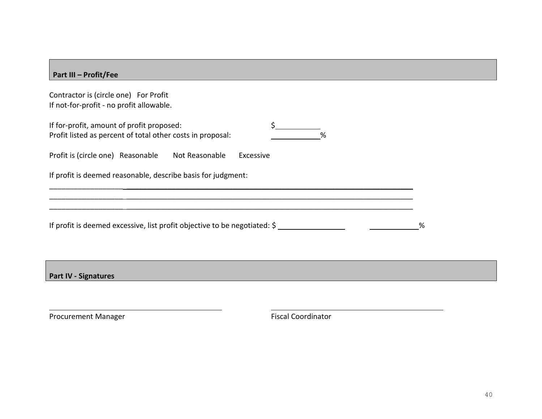### **Part III – Profit/Fee**

Contractor is (circle one) For Profit If not-for-profit - no profit allowable.

| If for-profit, amount of profit proposed:                  |  |
|------------------------------------------------------------|--|
| Profit listed as percent of total other costs in proposal: |  |

Profit is (circle one) Reasonable Not Reasonable Excessive

If profit is deemed reasonable, describe basis for judgment:

| If profit is deemed excessive, list profit objective to be negotiated: $\frac{1}{2}$ |  |
|--------------------------------------------------------------------------------------|--|
|--------------------------------------------------------------------------------------|--|

\_\_\_\_\_\_\_\_\_\_\_\_\_\_\_\_\_\_ \_\_\_\_\_\_\_\_\_\_\_\_\_\_\_\_\_\_\_\_\_\_\_\_\_\_\_\_\_\_\_\_\_\_\_\_\_\_\_\_\_\_\_\_\_\_\_\_\_\_\_\_\_\_\_\_\_\_\_\_\_\_\_\_\_\_\_\_\_\_ \_\_\_\_\_\_\_\_\_\_\_\_\_\_\_\_\_\_ \_\_\_\_\_\_\_\_\_\_\_\_\_\_\_\_\_\_\_\_\_\_\_\_\_\_\_\_\_\_\_\_\_\_\_\_\_\_\_\_\_\_\_\_\_\_\_\_\_\_\_\_\_\_\_\_\_\_\_\_\_\_\_\_\_\_\_\_\_\_ \_\_\_\_\_\_\_\_\_\_\_\_\_\_\_\_\_\_ \_\_\_\_\_\_\_\_\_\_\_\_\_\_\_\_\_\_\_\_\_\_\_\_\_\_\_\_\_\_\_\_\_\_\_\_\_\_\_\_\_\_\_\_\_\_\_\_\_\_\_\_\_\_\_\_\_\_\_\_\_\_\_\_\_\_\_\_\_\_

**Part IV - Signatures**

Procurement Manager Fiscal Coordinator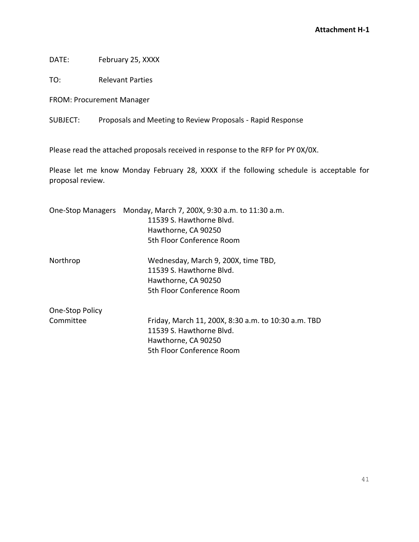DATE: February 25, XXXX

TO: Relevant Parties

FROM: Procurement Manager

SUBJECT: Proposals and Meeting to Review Proposals - Rapid Response

Please read the attached proposals received in response to the RFP for PY 0X/0X.

Please let me know Monday February 28, XXXX if the following schedule is acceptable for proposal review.

|                 | One-Stop Managers Monday, March 7, 200X, 9:30 a.m. to 11:30 a.m.<br>11539 S. Hawthorne Blyd.<br>Hawthorne, CA 90250<br>5th Floor Conference Room |
|-----------------|--------------------------------------------------------------------------------------------------------------------------------------------------|
| Northrop        | Wednesday, March 9, 200X, time TBD,<br>11539 S. Hawthorne Blvd.<br>Hawthorne, CA 90250<br>5th Floor Conference Room                              |
| One-Stop Policy |                                                                                                                                                  |
| Committee       | Friday, March 11, 200X, 8:30 a.m. to 10:30 a.m. TBD<br>11539 S. Hawthorne Blvd.<br>Hawthorne, CA 90250<br>5th Floor Conference Room              |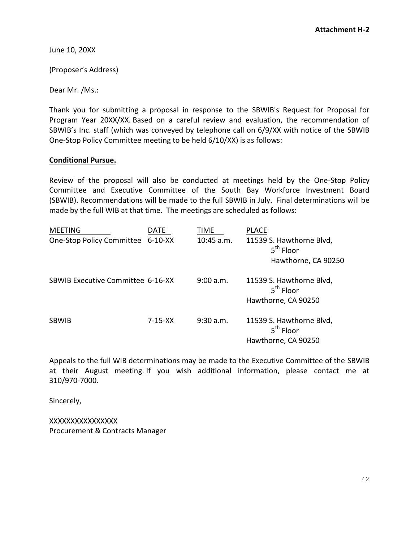June 10, 20XX

(Proposer's Address)

Dear Mr. /Ms.:

Thank you for submitting a proposal in response to the SBWIB's Request for Proposal for Program Year 20XX/XX. Based on a careful review and evaluation, the recommendation of SBWIB's Inc. staff (which was conveyed by telephone call on 6/9/XX with notice of the SBWIB One-Stop Policy Committee meeting to be held 6/10/XX) is as follows:

#### **Conditional Pursue.**

Review of the proposal will also be conducted at meetings held by the One-Stop Policy Committee and Executive Committee of the South Bay Workforce Investment Board (SBWIB). Recommendations will be made to the full SBWIB in July. Final determinations will be made by the full WIB at that time. The meetings are scheduled as follows:

| <b>MEETING</b>                    | DATE          | TIME        | <b>PLACE</b>                                                             |
|-----------------------------------|---------------|-------------|--------------------------------------------------------------------------|
| One-Stop Policy Committee         | $6-10-XX$     | 10:45 a.m.  | 11539 S. Hawthorne Blvd,<br>5 <sup>th</sup> Floor<br>Hawthorne, CA 90250 |
| SBWIB Executive Committee 6-16-XX |               | 9:00 a.m.   | 11539 S. Hawthorne Blvd,<br>5 <sup>th</sup> Floor<br>Hawthorne, CA 90250 |
| SBWIB                             | $7 - 15 - XX$ | $9:30$ a.m. | 11539 S. Hawthorne Blvd,<br>5 <sup>th</sup> Floor<br>Hawthorne, CA 90250 |

Appeals to the full WIB determinations may be made to the Executive Committee of the SBWIB at their August meeting. If you wish additional information, please contact me at 310/970-7000.

Sincerely,

XXXXXXXXXXXXXXXX Procurement & Contracts Manager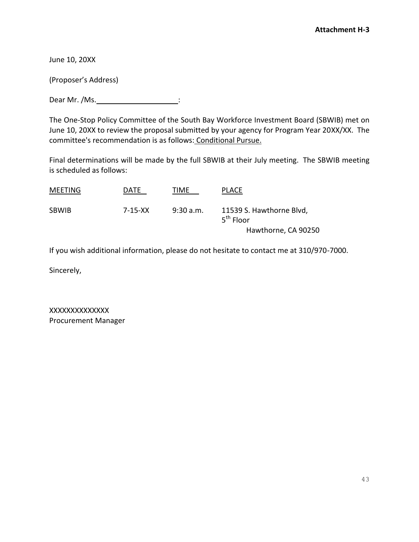June 10, 20XX

(Proposer's Address)

Dear Mr. /Ms. :

The One-Stop Policy Committee of the South Bay Workforce Investment Board (SBWIB) met on June 10, 20XX to review the proposal submitted by your agency for Program Year 20XX/XX. The committee's recommendation is as follows: Conditional Pursue.

Final determinations will be made by the full SBWIB at their July meeting. The SBWIB meeting is scheduled as follows:

| <b>MEETING</b> | DATF    | TIMF        | <b>PLACE</b>                                      |
|----------------|---------|-------------|---------------------------------------------------|
| <b>SBWIB</b>   | 7-15-XX | $9:30$ a.m. | 11539 S. Hawthorne Blvd,<br>5 <sup>th</sup> Floor |
|                |         |             | Hawthorne, CA 90250                               |

If you wish additional information, please do not hesitate to contact me at 310/970-7000.

Sincerely,

XXXXXXXXXXXXXX Procurement Manager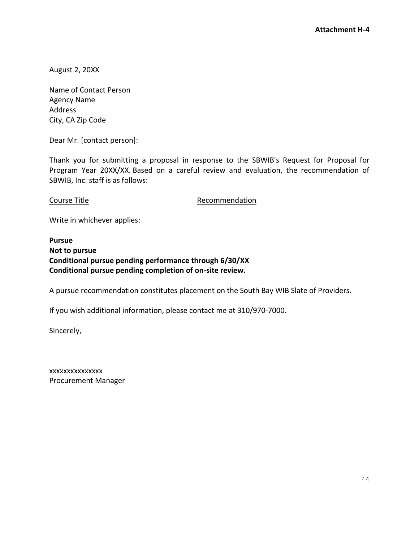August 2, 20XX

Name of Contact Person Agency Name Address City, CA Zip Code

Dear Mr. [contact person]:

Thank you for submitting a proposal in response to the SBWIB's Request for Proposal for Program Year 20XX/XX. Based on a careful review and evaluation, the recommendation of SBWIB, Inc. staff is as follows:

Course Title **Course Title Recommendation** 

Write in whichever applies:

**Pursue Not to pursue Conditional pursue pending performance through 6/30/XX Conditional pursue pending completion of on-site review.**

A pursue recommendation constitutes placement on the South Bay WIB Slate of Providers.

If you wish additional information, please contact me at 310/970-7000.

Sincerely,

xxxxxxxxxxxxxxx Procurement Manager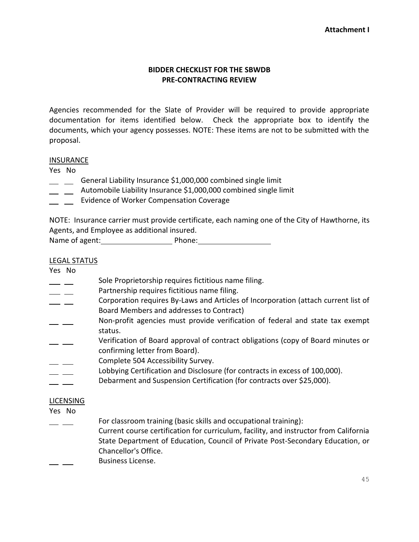### **BIDDER CHECKLIST FOR THE SBWDB PRE-CONTRACTING REVIEW**

Agencies recommended for the Slate of Provider will be required to provide appropriate documentation for items identified below. Check the appropriate box to identify the documents, which your agency possesses. NOTE: These items are not to be submitted with the proposal.

### INSURANCE

Yes No

- General Liability Insurance \$1,000,000 combined single limit
- **Automobile Liability Insurance \$1,000,000 combined single limit**
- \_ \_\_ Evidence of Worker Compensation Coverage

NOTE: Insurance carrier must provide certificate, each naming one of the City of Hawthorne, its Agents, and Employee as additional insured.

| Name of agent: | Phone: |
|----------------|--------|
|                |        |

### LEGAL STATUS

Yes No

- **Sole Proprietorship requires fictitious name filing.**
- **The Start Partnership requires fictitious name filing.**
- <sub>1</sub> \_\_ Corporation requires By-Laws and Articles of Incorporation (attach current list of Board Members and addresses to Contract)
- Non-profit agencies must provide verification of federal and state tax exempt status.
- Letter Contraction of Board approval of contract obligations (copy of Board minutes or confirming letter from Board).
- \_ \_\_\_\_ Complete 504 Accessibility Survey.
- Lobbying Certification and Disclosure (for contracts in excess of 100,000).
- Letter Debarment and Suspension Certification (for contracts over \$25,000).

### **LICENSING**

Yes No

- **For classroom training (basic skills and occupational training):** Current course certification for curriculum, facility, and instructor from California State Department of Education, Council of Private Post-Secondary Education, or Chancellor's Office.
	- Business License.